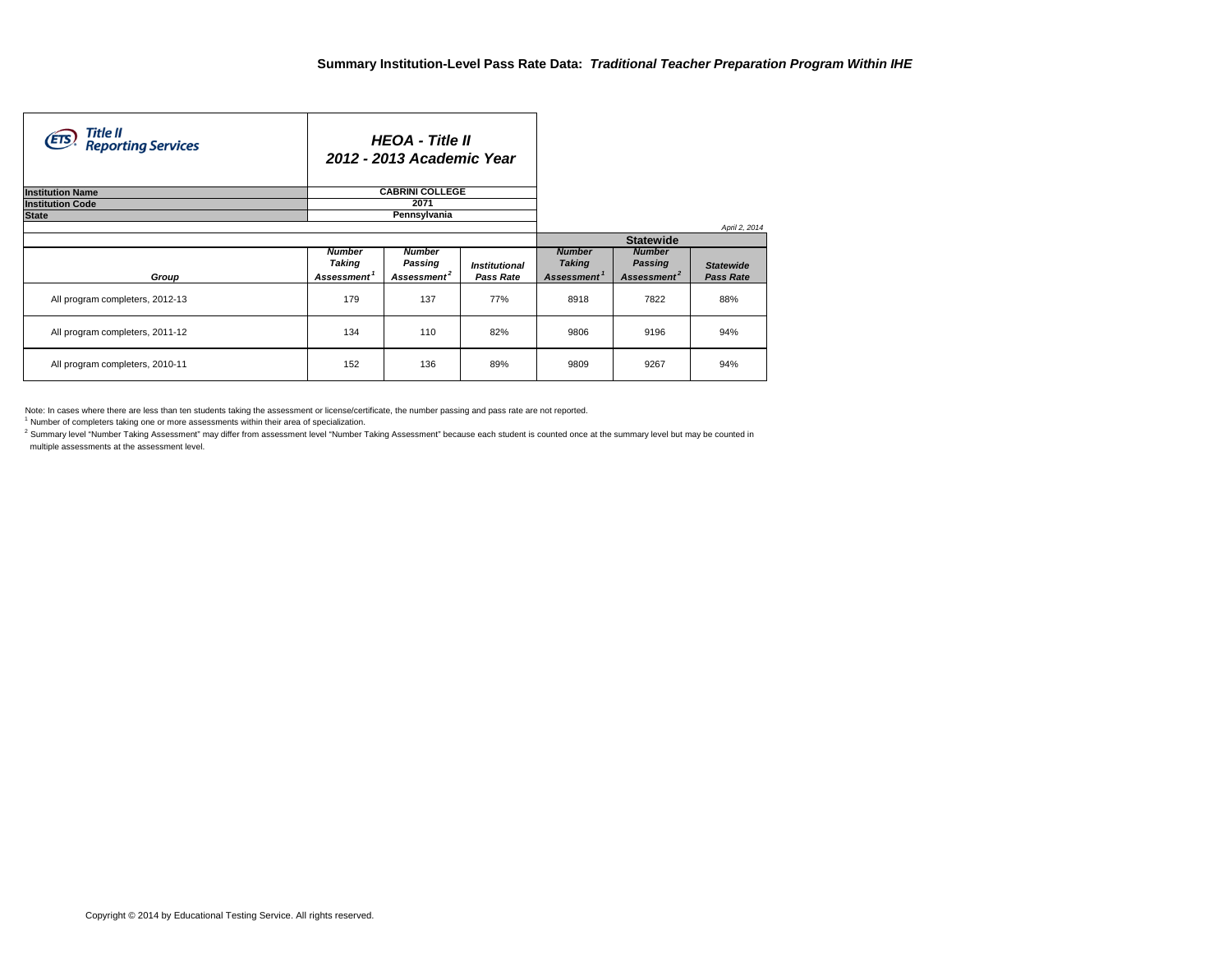| Title II<br>Reporting Services<br>(ETS) |                         | <b>HEOA</b> - Title II<br>2012 - 2013 Academic Year |                      |                         |                         |                  |
|-----------------------------------------|-------------------------|-----------------------------------------------------|----------------------|-------------------------|-------------------------|------------------|
| <b>Institution Name</b>                 |                         | <b>CABRINI COLLEGE</b>                              |                      |                         |                         |                  |
| <b>Institution Code</b>                 |                         | 2071                                                |                      |                         |                         |                  |
| <b>State</b>                            |                         | Pennsylvania                                        |                      |                         |                         |                  |
|                                         |                         |                                                     |                      |                         |                         | April 2, 2014    |
|                                         |                         |                                                     |                      |                         | <b>Statewide</b>        |                  |
|                                         | <b>Number</b>           | <b>Number</b>                                       |                      | <b>Number</b>           | <b>Number</b>           |                  |
|                                         | Taking                  | Passing                                             | <b>Institutional</b> | <b>Taking</b>           | Passing                 | <b>Statewide</b> |
| Group                                   | Assessment <sup>1</sup> | Assessment <sup>2</sup>                             | Pass Rate            | Assessment <sup>1</sup> | Assessment <sup>2</sup> | <b>Pass Rate</b> |
| All program completers, 2012-13         | 179                     | 137                                                 | <b>77%</b>           | 8918                    | 7822                    | 88%              |
| All program completers, 2011-12         | 134                     | 110                                                 | 82%                  | 9806                    | 9196                    | 94%              |
| All program completers, 2010-11         | 152                     | 136                                                 | 89%                  | 9809                    | 9267                    | 94%              |

Note: In cases where there are less than ten students taking the assessment or license/certificate, the number passing and pass rate are not reported.

<sup>1</sup> Number of completers taking one or more assessments within their area of specialization.

<sup>2</sup> Summary level "Number Taking Assessment" may differ from assessment level "Number Taking Assessment" because each student is counted once at the summary level but may be counted in multiple assessments at the assessment level.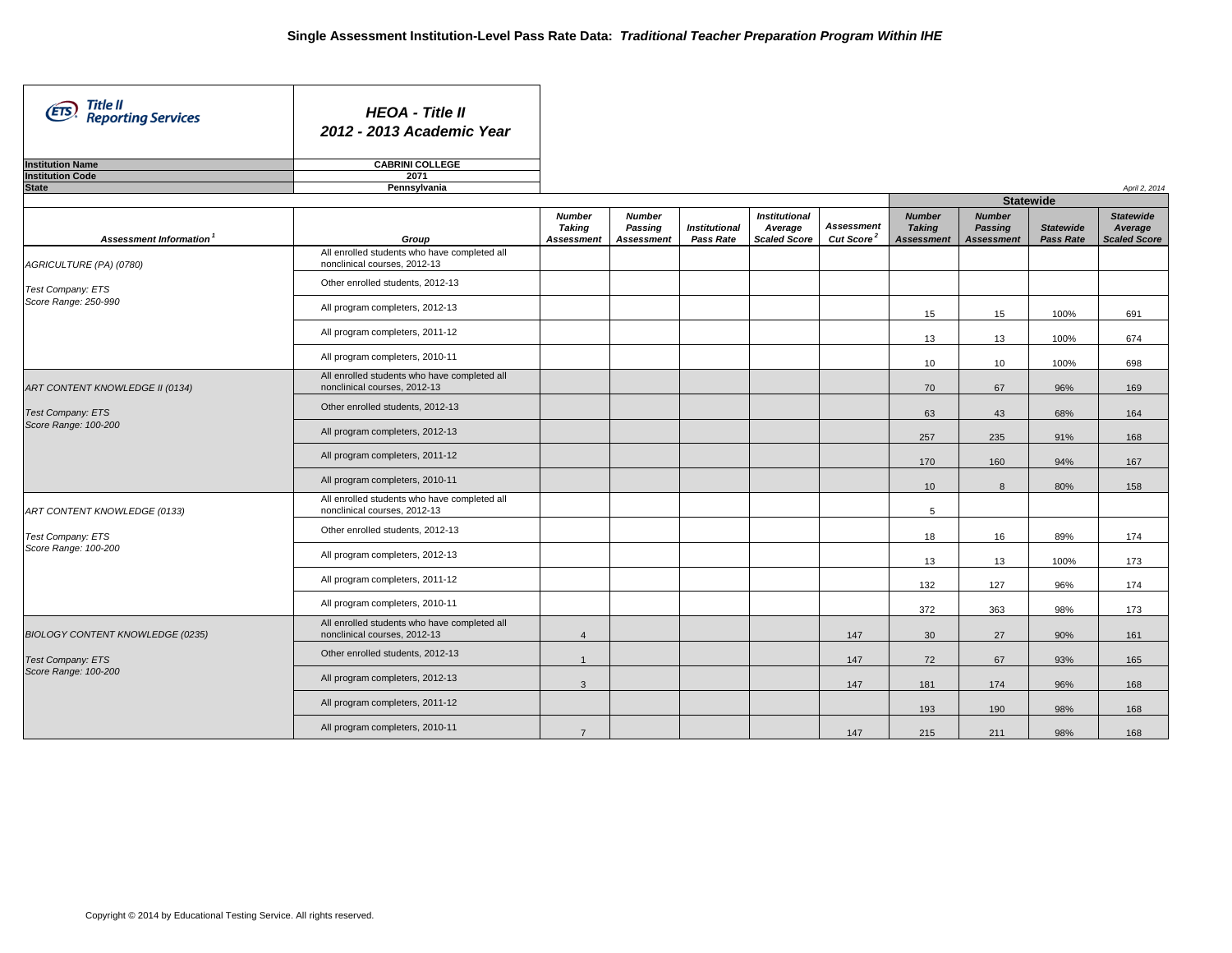| Title II<br>Reporting Services<br><b>ETS</b> | <b>HEOA - Title II</b><br>2012 - 2013 Academic Year                          |                                                     |                                               |                                   |                                                        |                                             |                                                     |                                               |                                      |                                                    |
|----------------------------------------------|------------------------------------------------------------------------------|-----------------------------------------------------|-----------------------------------------------|-----------------------------------|--------------------------------------------------------|---------------------------------------------|-----------------------------------------------------|-----------------------------------------------|--------------------------------------|----------------------------------------------------|
| <b>Institution Name</b>                      | <b>CABRINI COLLEGE</b>                                                       |                                                     |                                               |                                   |                                                        |                                             |                                                     |                                               |                                      |                                                    |
| <b>Institution Code</b><br><b>State</b>      | 2071<br>Pennsylvania                                                         |                                                     |                                               |                                   |                                                        |                                             |                                                     |                                               |                                      | April 2, 2014                                      |
|                                              |                                                                              |                                                     |                                               |                                   |                                                        |                                             |                                                     | <b>Statewide</b>                              |                                      |                                                    |
|                                              |                                                                              |                                                     |                                               |                                   |                                                        |                                             |                                                     |                                               |                                      |                                                    |
| Assessment Information <sup>1</sup>          | Group                                                                        | <b>Number</b><br><b>Taking</b><br><b>Assessment</b> | <b>Number</b><br>Passing<br><b>Assessment</b> | <b>Institutional</b><br>Pass Rate | <b>Institutional</b><br>Average<br><b>Scaled Score</b> | <b>Assessment</b><br>Cut Score <sup>2</sup> | <b>Number</b><br><b>Taking</b><br><b>Assessment</b> | <b>Number</b><br>Passing<br><b>Assessment</b> | <b>Statewide</b><br><b>Pass Rate</b> | <b>Statewide</b><br>Average<br><b>Scaled Score</b> |
| AGRICULTURE (PA) (0780)                      | All enrolled students who have completed all<br>nonclinical courses, 2012-13 |                                                     |                                               |                                   |                                                        |                                             |                                                     |                                               |                                      |                                                    |
| Test Company: ETS                            | Other enrolled students, 2012-13                                             |                                                     |                                               |                                   |                                                        |                                             |                                                     |                                               |                                      |                                                    |
| Score Range: 250-990                         | All program completers, 2012-13                                              |                                                     |                                               |                                   |                                                        |                                             | 15                                                  | 15                                            | 100%                                 | 691                                                |
|                                              | All program completers, 2011-12                                              |                                                     |                                               |                                   |                                                        |                                             | 13                                                  | 13                                            | 100%                                 | 674                                                |
|                                              | All program completers, 2010-11                                              |                                                     |                                               |                                   |                                                        |                                             | 10                                                  | 10                                            | 100%                                 | 698                                                |
| ART CONTENT KNOWLEDGE II (0134)              | All enrolled students who have completed all<br>nonclinical courses, 2012-13 |                                                     |                                               |                                   |                                                        |                                             | 70                                                  | 67                                            | 96%                                  | 169                                                |
| <b>Test Company: ETS</b>                     | Other enrolled students, 2012-13                                             |                                                     |                                               |                                   |                                                        |                                             | 63                                                  | 43                                            | 68%                                  | 164                                                |
| Score Range: 100-200                         | All program completers, 2012-13                                              |                                                     |                                               |                                   |                                                        |                                             | 257                                                 | 235                                           | 91%                                  | 168                                                |
|                                              | All program completers, 2011-12                                              |                                                     |                                               |                                   |                                                        |                                             | 170                                                 | 160                                           | 94%                                  | 167                                                |
|                                              | All program completers, 2010-11                                              |                                                     |                                               |                                   |                                                        |                                             | 10                                                  | 8                                             | 80%                                  | 158                                                |
| ART CONTENT KNOWLEDGE (0133)                 | All enrolled students who have completed all<br>nonclinical courses, 2012-13 |                                                     |                                               |                                   |                                                        |                                             | 5                                                   |                                               |                                      |                                                    |
| Test Company: ETS                            | Other enrolled students, 2012-13                                             |                                                     |                                               |                                   |                                                        |                                             | 18                                                  | 16                                            | 89%                                  | 174                                                |
| Score Range: 100-200                         | All program completers, 2012-13                                              |                                                     |                                               |                                   |                                                        |                                             | 13                                                  | 13                                            | 100%                                 | 173                                                |
|                                              | All program completers, 2011-12                                              |                                                     |                                               |                                   |                                                        |                                             | 132                                                 | 127                                           | 96%                                  | 174                                                |
|                                              | All program completers, 2010-11                                              |                                                     |                                               |                                   |                                                        |                                             | 372                                                 | 363                                           | 98%                                  | 173                                                |
| BIOLOGY CONTENT KNOWLEDGE (0235)             | All enrolled students who have completed all<br>nonclinical courses, 2012-13 | $\overline{4}$                                      |                                               |                                   |                                                        | 147                                         | 30                                                  | 27                                            | 90%                                  | 161                                                |
| Test Company: ETS                            | Other enrolled students, 2012-13                                             | $\overline{1}$                                      |                                               |                                   |                                                        | 147                                         | 72                                                  | 67                                            | 93%                                  | 165                                                |
| Score Range: 100-200                         | All program completers, 2012-13                                              | $\mathbf{3}$                                        |                                               |                                   |                                                        | 147                                         | 181                                                 | 174                                           | 96%                                  | 168                                                |
|                                              | All program completers, 2011-12                                              |                                                     |                                               |                                   |                                                        |                                             | 193                                                 | 190                                           | 98%                                  | 168                                                |
|                                              | All program completers, 2010-11                                              | $\overline{7}$                                      |                                               |                                   |                                                        | 147                                         | 215                                                 | 211                                           | 98%                                  | 168                                                |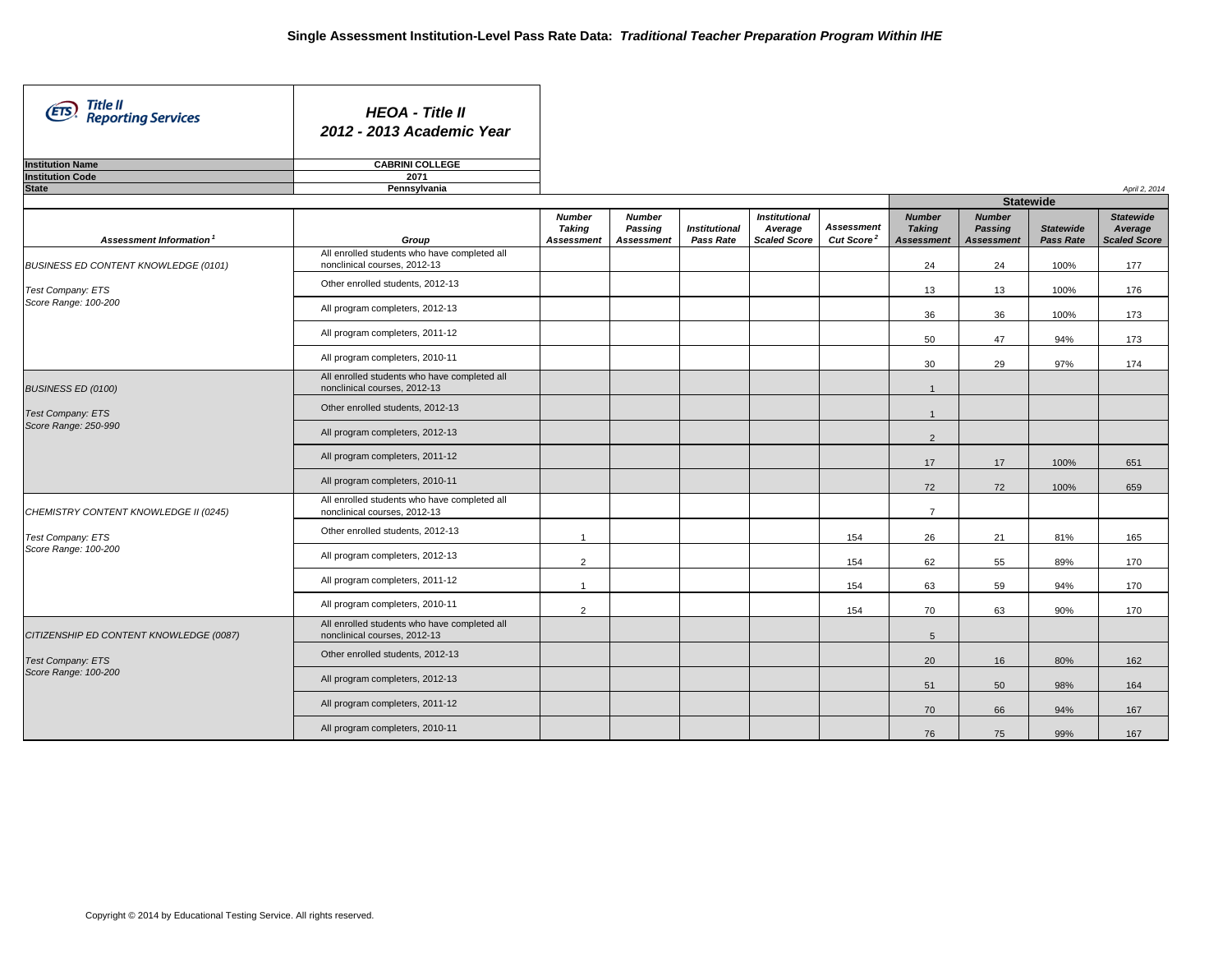| Title II<br>(ETS)<br><b>Reporting Services</b> | <b>HEOA - Title II</b><br>2012 - 2013 Academic Year                          |                |                   |                      |                      |                        |                   |                   |                  |                     |
|------------------------------------------------|------------------------------------------------------------------------------|----------------|-------------------|----------------------|----------------------|------------------------|-------------------|-------------------|------------------|---------------------|
| <b>Institution Name</b>                        | <b>CABRINI COLLEGE</b>                                                       |                |                   |                      |                      |                        |                   |                   |                  |                     |
| <b>Institution Code</b><br><b>State</b>        | 2071<br>Pennsylvania                                                         |                |                   |                      |                      |                        |                   |                   |                  |                     |
|                                                |                                                                              |                |                   |                      |                      |                        |                   | <b>Statewide</b>  |                  | April 2, 2014       |
|                                                |                                                                              | <b>Number</b>  | <b>Number</b>     |                      | <b>Institutional</b> |                        | <b>Number</b>     | <b>Number</b>     |                  | <b>Statewide</b>    |
|                                                |                                                                              | Taking         | Passing           | <b>Institutional</b> | Average              | <b>Assessment</b>      | <b>Taking</b>     | <b>Passing</b>    | <b>Statewide</b> | Average             |
| Assessment Information <sup>1</sup>            | Group                                                                        | Assessment     | <b>Assessment</b> | Pass Rate            | <b>Scaled Score</b>  | Cut Score <sup>2</sup> | <b>Assessment</b> | <b>Assessment</b> | <b>Pass Rate</b> | <b>Scaled Score</b> |
| BUSINESS ED CONTENT KNOWLEDGE (0101)           | All enrolled students who have completed all<br>nonclinical courses, 2012-13 |                |                   |                      |                      |                        | 24                | 24                | 100%             | 177                 |
| Test Company: ETS                              | Other enrolled students, 2012-13                                             |                |                   |                      |                      |                        | 13                | 13                | 100%             | 176                 |
| Score Range: 100-200                           | All program completers, 2012-13                                              |                |                   |                      |                      |                        | 36                | 36                | 100%             | 173                 |
|                                                | All program completers, 2011-12                                              |                |                   |                      |                      |                        | 50                | 47                | 94%              | 173                 |
|                                                | All program completers, 2010-11                                              |                |                   |                      |                      |                        | 30                | 29                | 97%              | 174                 |
| <b>BUSINESS ED (0100)</b>                      | All enrolled students who have completed all<br>nonclinical courses, 2012-13 |                |                   |                      |                      |                        | $\mathbf{1}$      |                   |                  |                     |
| Test Company: ETS                              | Other enrolled students, 2012-13                                             |                |                   |                      |                      |                        | $\mathbf{1}$      |                   |                  |                     |
| Score Range: 250-990                           | All program completers, 2012-13                                              |                |                   |                      |                      |                        | $\overline{2}$    |                   |                  |                     |
|                                                | All program completers, 2011-12                                              |                |                   |                      |                      |                        | 17                | 17                | 100%             | 651                 |
|                                                | All program completers, 2010-11                                              |                |                   |                      |                      |                        | 72                | 72                | 100%             | 659                 |
| CHEMISTRY CONTENT KNOWLEDGE II (0245)          | All enrolled students who have completed all<br>nonclinical courses, 2012-13 |                |                   |                      |                      |                        | $\overline{7}$    |                   |                  |                     |
| Test Company: ETS                              | Other enrolled students, 2012-13                                             | $\overline{1}$ |                   |                      |                      | 154                    | 26                | 21                | 81%              | 165                 |
| Score Range: 100-200                           | All program completers, 2012-13                                              | $\overline{2}$ |                   |                      |                      | 154                    | 62                | 55                | 89%              | 170                 |
|                                                | All program completers, 2011-12                                              | $\overline{1}$ |                   |                      |                      | 154                    | 63                | 59                | 94%              | 170                 |
|                                                | All program completers, 2010-11                                              | $\overline{2}$ |                   |                      |                      | 154                    | 70                | 63                | 90%              | 170                 |
| CITIZENSHIP ED CONTENT KNOWLEDGE (0087)        | All enrolled students who have completed all<br>nonclinical courses, 2012-13 |                |                   |                      |                      |                        | $5\overline{5}$   |                   |                  |                     |
| <b>Test Company: ETS</b>                       | Other enrolled students, 2012-13                                             |                |                   |                      |                      |                        | 20                | 16                | 80%              | 162                 |
| Score Range: 100-200                           | All program completers, 2012-13                                              |                |                   |                      |                      |                        | 51                | 50                | 98%              | 164                 |
|                                                | All program completers, 2011-12                                              |                |                   |                      |                      |                        | 70                | 66                | 94%              | 167                 |
|                                                | All program completers, 2010-11                                              |                |                   |                      |                      |                        | 76                | 75                | 99%              | 167                 |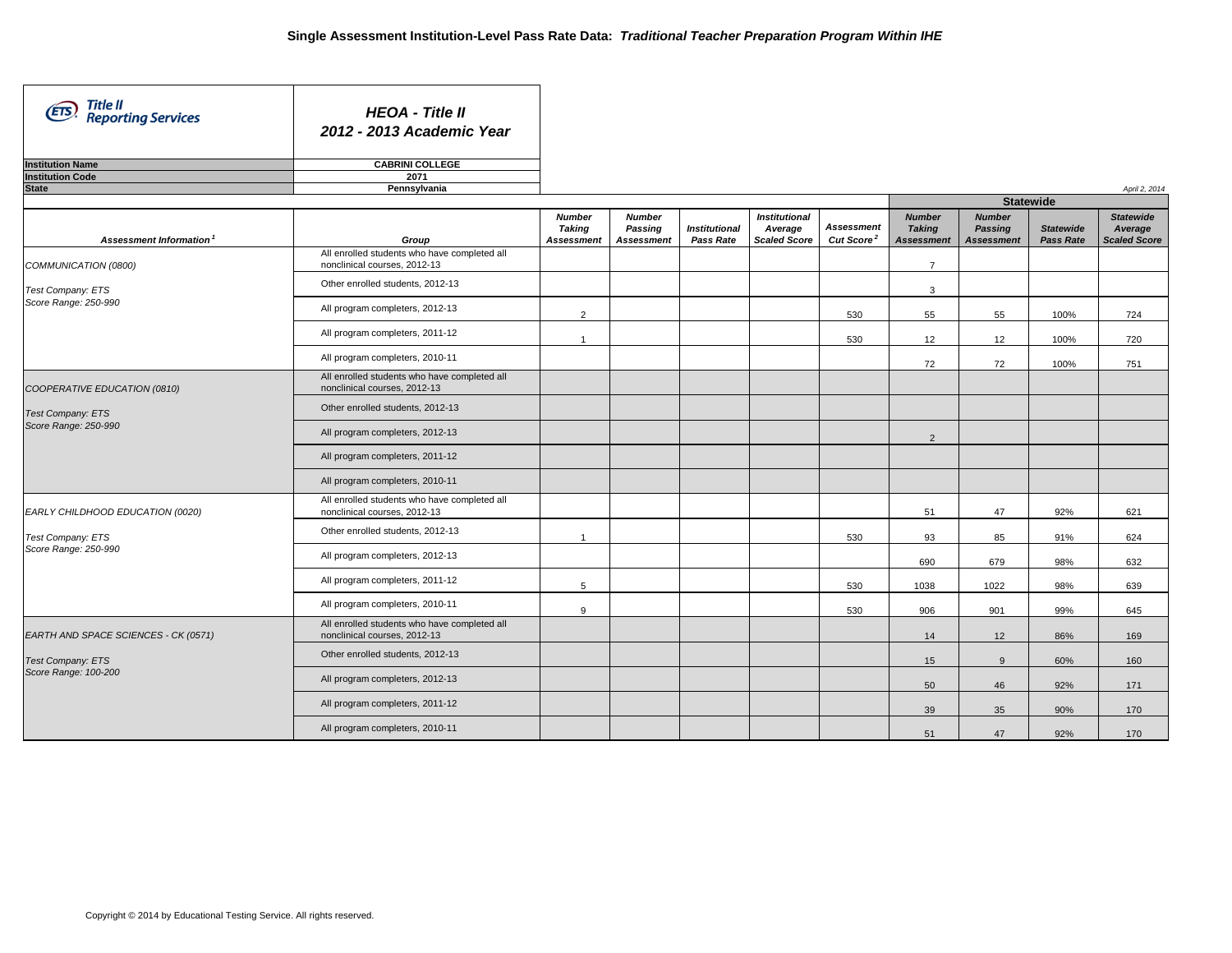| Title II<br>(ETS)<br><b>Reporting Services</b> | <b>HEOA - Title II</b><br>2012 - 2013 Academic Year                          |                                                     |                                               |                                   |                                                        |                                             |                                                     |                                               |                                      |                                                    |
|------------------------------------------------|------------------------------------------------------------------------------|-----------------------------------------------------|-----------------------------------------------|-----------------------------------|--------------------------------------------------------|---------------------------------------------|-----------------------------------------------------|-----------------------------------------------|--------------------------------------|----------------------------------------------------|
| <b>Institution Name</b>                        | <b>CABRINI COLLEGE</b>                                                       |                                                     |                                               |                                   |                                                        |                                             |                                                     |                                               |                                      |                                                    |
| <b>Institution Code</b>                        | 2071                                                                         |                                                     |                                               |                                   |                                                        |                                             |                                                     |                                               |                                      |                                                    |
| <b>State</b>                                   | Pennsylvania                                                                 |                                                     |                                               |                                   |                                                        |                                             |                                                     | <b>Statewide</b>                              |                                      | April 2, 2014                                      |
|                                                |                                                                              |                                                     |                                               |                                   |                                                        |                                             |                                                     |                                               |                                      |                                                    |
| Assessment Information <sup>1</sup>            | Group                                                                        | <b>Number</b><br><b>Taking</b><br><b>Assessment</b> | <b>Number</b><br>Passing<br><b>Assessment</b> | <b>Institutional</b><br>Pass Rate | <b>Institutional</b><br>Average<br><b>Scaled Score</b> | <b>Assessment</b><br>Cut Score <sup>2</sup> | <b>Number</b><br><b>Taking</b><br><b>Assessment</b> | <b>Number</b><br>Passing<br><b>Assessment</b> | <b>Statewide</b><br><b>Pass Rate</b> | <b>Statewide</b><br>Average<br><b>Scaled Score</b> |
| COMMUNICATION (0800)                           | All enrolled students who have completed all<br>nonclinical courses, 2012-13 |                                                     |                                               |                                   |                                                        |                                             | $\overline{7}$                                      |                                               |                                      |                                                    |
| Test Company: ETS                              | Other enrolled students, 2012-13                                             |                                                     |                                               |                                   |                                                        |                                             | 3                                                   |                                               |                                      |                                                    |
| Score Range: 250-990                           | All program completers, 2012-13                                              | $\overline{2}$                                      |                                               |                                   |                                                        | 530                                         | 55                                                  | 55                                            | 100%                                 | 724                                                |
|                                                | All program completers, 2011-12                                              | $\mathbf{1}$                                        |                                               |                                   |                                                        | 530                                         | 12                                                  | 12                                            | 100%                                 | 720                                                |
|                                                | All program completers, 2010-11                                              |                                                     |                                               |                                   |                                                        |                                             | 72                                                  | 72                                            | 100%                                 | 751                                                |
| COOPERATIVE EDUCATION (0810)                   | All enrolled students who have completed all<br>nonclinical courses, 2012-13 |                                                     |                                               |                                   |                                                        |                                             |                                                     |                                               |                                      |                                                    |
| <b>Test Company: ETS</b>                       | Other enrolled students, 2012-13                                             |                                                     |                                               |                                   |                                                        |                                             |                                                     |                                               |                                      |                                                    |
| Score Range: 250-990                           | All program completers, 2012-13                                              |                                                     |                                               |                                   |                                                        |                                             | $\overline{2}$                                      |                                               |                                      |                                                    |
|                                                | All program completers, 2011-12                                              |                                                     |                                               |                                   |                                                        |                                             |                                                     |                                               |                                      |                                                    |
|                                                | All program completers, 2010-11                                              |                                                     |                                               |                                   |                                                        |                                             |                                                     |                                               |                                      |                                                    |
| EARLY CHILDHOOD EDUCATION (0020)               | All enrolled students who have completed all<br>nonclinical courses, 2012-13 |                                                     |                                               |                                   |                                                        |                                             | 51                                                  | 47                                            | 92%                                  | 621                                                |
| Test Company: ETS                              | Other enrolled students, 2012-13                                             | $\overline{1}$                                      |                                               |                                   |                                                        | 530                                         | 93                                                  | 85                                            | 91%                                  | 624                                                |
| Score Range: 250-990                           | All program completers, 2012-13                                              |                                                     |                                               |                                   |                                                        |                                             | 690                                                 | 679                                           | 98%                                  | 632                                                |
|                                                | All program completers, 2011-12                                              | 5                                                   |                                               |                                   |                                                        | 530                                         | 1038                                                | 1022                                          | 98%                                  | 639                                                |
|                                                | All program completers, 2010-11                                              | 9                                                   |                                               |                                   |                                                        | 530                                         | 906                                                 | 901                                           | 99%                                  | 645                                                |
| EARTH AND SPACE SCIENCES - CK (0571)           | All enrolled students who have completed all<br>nonclinical courses, 2012-13 |                                                     |                                               |                                   |                                                        |                                             | 14                                                  | 12                                            | 86%                                  | 169                                                |
| <b>Test Company: ETS</b>                       | Other enrolled students, 2012-13                                             |                                                     |                                               |                                   |                                                        |                                             | 15                                                  | 9                                             | 60%                                  | 160                                                |
| Score Range: 100-200                           | All program completers, 2012-13                                              |                                                     |                                               |                                   |                                                        |                                             | 50                                                  | 46                                            | 92%                                  | 171                                                |
|                                                | All program completers, 2011-12                                              |                                                     |                                               |                                   |                                                        |                                             | 39                                                  | 35                                            | 90%                                  | 170                                                |
|                                                | All program completers, 2010-11                                              |                                                     |                                               |                                   |                                                        |                                             | 51                                                  | 47                                            | 92%                                  | 170                                                |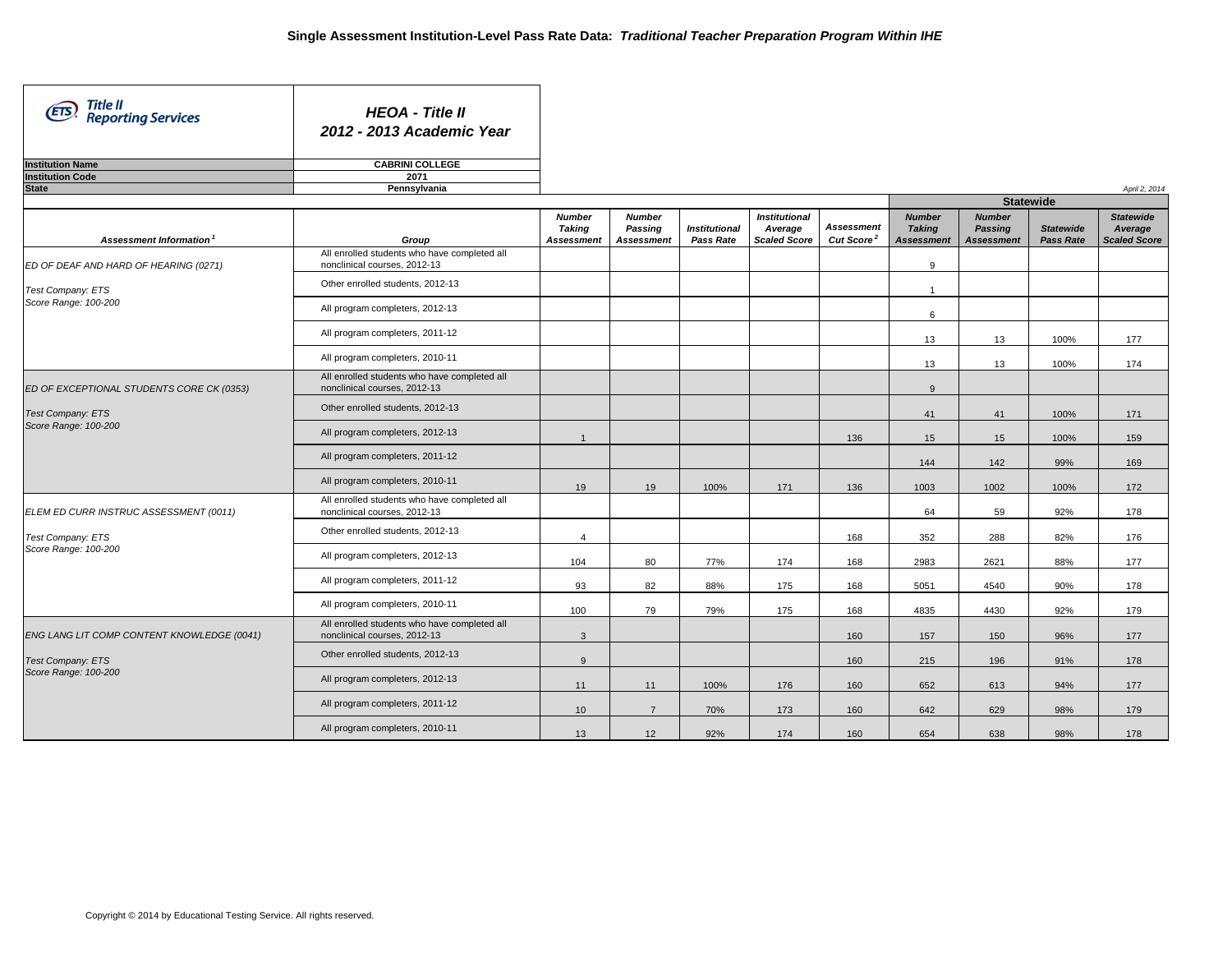| Title II<br>(ETS)<br><b>Reporting Services</b> | <b>HEOA - Title II</b><br>2012 - 2013 Academic Year                          |                                              |                                               |                                   |                                                        |                                             |                                                     |                                               |                                      |                                                    |
|------------------------------------------------|------------------------------------------------------------------------------|----------------------------------------------|-----------------------------------------------|-----------------------------------|--------------------------------------------------------|---------------------------------------------|-----------------------------------------------------|-----------------------------------------------|--------------------------------------|----------------------------------------------------|
| <b>Institution Name</b>                        | <b>CABRINI COLLEGE</b>                                                       |                                              |                                               |                                   |                                                        |                                             |                                                     |                                               |                                      |                                                    |
| <b>Institution Code</b>                        | 2071                                                                         |                                              |                                               |                                   |                                                        |                                             |                                                     |                                               |                                      |                                                    |
| <b>State</b>                                   | Pennsylvania                                                                 |                                              |                                               |                                   |                                                        |                                             |                                                     |                                               |                                      | April 2, 2014                                      |
|                                                |                                                                              |                                              |                                               |                                   |                                                        |                                             |                                                     | <b>Statewide</b>                              |                                      |                                                    |
| Assessment Information <sup>1</sup>            | Group                                                                        | <b>Number</b><br>Taking<br><b>Assessment</b> | <b>Number</b><br>Passing<br><b>Assessment</b> | <b>Institutional</b><br>Pass Rate | <b>Institutional</b><br>Average<br><b>Scaled Score</b> | <b>Assessment</b><br>Cut Score <sup>2</sup> | <b>Number</b><br><b>Taking</b><br><b>Assessment</b> | <b>Number</b><br>Passing<br><b>Assessment</b> | <b>Statewide</b><br><b>Pass Rate</b> | <b>Statewide</b><br>Average<br><b>Scaled Score</b> |
| ED OF DEAF AND HARD OF HEARING (0271)          | All enrolled students who have completed all<br>nonclinical courses, 2012-13 |                                              |                                               |                                   |                                                        |                                             | 9                                                   |                                               |                                      |                                                    |
| Test Company: ETS                              | Other enrolled students, 2012-13                                             |                                              |                                               |                                   |                                                        |                                             | $\overline{1}$                                      |                                               |                                      |                                                    |
| Score Range: 100-200                           | All program completers, 2012-13                                              |                                              |                                               |                                   |                                                        |                                             | 6                                                   |                                               |                                      |                                                    |
|                                                | All program completers, 2011-12                                              |                                              |                                               |                                   |                                                        |                                             | 13                                                  | 13                                            | 100%                                 | 177                                                |
|                                                | All program completers, 2010-11                                              |                                              |                                               |                                   |                                                        |                                             | 13                                                  | 13                                            | 100%                                 | 174                                                |
| ED OF EXCEPTIONAL STUDENTS CORE CK (0353)      | All enrolled students who have completed all<br>nonclinical courses, 2012-13 |                                              |                                               |                                   |                                                        |                                             | 9                                                   |                                               |                                      |                                                    |
| Test Company: ETS                              | Other enrolled students, 2012-13                                             |                                              |                                               |                                   |                                                        |                                             | 41                                                  | 41                                            | 100%                                 | 171                                                |
| Score Range: 100-200                           | All program completers, 2012-13                                              | $\mathbf{1}$                                 |                                               |                                   |                                                        | 136                                         | 15                                                  | 15                                            | 100%                                 | 159                                                |
|                                                | All program completers, 2011-12                                              |                                              |                                               |                                   |                                                        |                                             | 144                                                 | 142                                           | 99%                                  | 169                                                |
|                                                | All program completers, 2010-11                                              | 19                                           | 19                                            | 100%                              | 171                                                    | 136                                         | 1003                                                | 1002                                          | 100%                                 | 172                                                |
| ELEM ED CURR INSTRUC ASSESSMENT (0011)         | All enrolled students who have completed all<br>nonclinical courses, 2012-13 |                                              |                                               |                                   |                                                        |                                             | 64                                                  | 59                                            | 92%                                  | 178                                                |
| Test Company: ETS                              | Other enrolled students, 2012-13                                             | $\overline{4}$                               |                                               |                                   |                                                        | 168                                         | 352                                                 | 288                                           | 82%                                  | 176                                                |
| Score Range: 100-200                           | All program completers, 2012-13                                              | 104                                          | 80                                            | 77%                               | 174                                                    | 168                                         | 2983                                                | 2621                                          | 88%                                  | 177                                                |
|                                                | All program completers, 2011-12                                              | 93                                           | 82                                            | 88%                               | 175                                                    | 168                                         | 5051                                                | 4540                                          | 90%                                  | 178                                                |
|                                                | All program completers, 2010-11                                              | 100                                          | 79                                            | 79%                               | 175                                                    | 168                                         | 4835                                                | 4430                                          | 92%                                  | 179                                                |
| ENG LANG LIT COMP CONTENT KNOWLEDGE (0041)     | All enrolled students who have completed all<br>nonclinical courses, 2012-13 | $\mathbf{3}$                                 |                                               |                                   |                                                        | 160                                         | 157                                                 | 150                                           | 96%                                  | 177                                                |
| Test Company: ETS                              | Other enrolled students, 2012-13                                             | 9                                            |                                               |                                   |                                                        | 160                                         | 215                                                 | 196                                           | 91%                                  | 178                                                |
| Score Range: 100-200                           | All program completers, 2012-13                                              | 11                                           | 11                                            | 100%                              | 176                                                    | 160                                         | 652                                                 | 613                                           | 94%                                  | 177                                                |
|                                                | All program completers, 2011-12                                              | 10                                           | $\overline{7}$                                | 70%                               | 173                                                    | 160                                         | 642                                                 | 629                                           | 98%                                  | 179                                                |
|                                                | All program completers, 2010-11                                              | 13                                           | 12                                            | 92%                               | 174                                                    | 160                                         | 654                                                 | 638                                           | 98%                                  | 178                                                |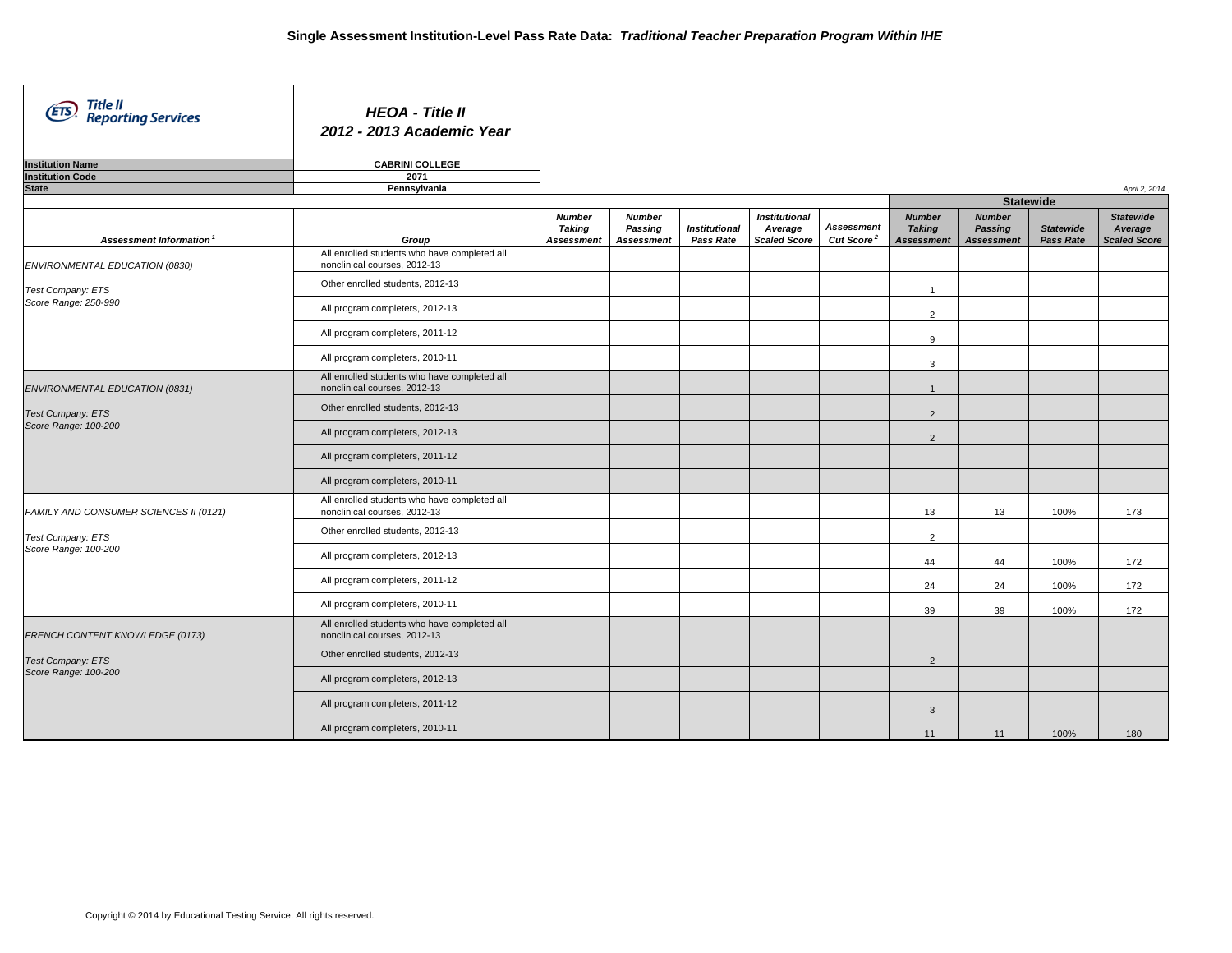| Title II<br>(ETS)<br><b>Reporting Services</b> | <b>HEOA - Title II</b><br>2012 - 2013 Academic Year                          |                                                     |                                               |                                   |                                                        |                                             |                                                     |                                               |                               |                                                    |
|------------------------------------------------|------------------------------------------------------------------------------|-----------------------------------------------------|-----------------------------------------------|-----------------------------------|--------------------------------------------------------|---------------------------------------------|-----------------------------------------------------|-----------------------------------------------|-------------------------------|----------------------------------------------------|
| <b>Institution Name</b>                        | <b>CABRINI COLLEGE</b>                                                       |                                                     |                                               |                                   |                                                        |                                             |                                                     |                                               |                               |                                                    |
| <b>Institution Code</b>                        | 2071                                                                         |                                                     |                                               |                                   |                                                        |                                             |                                                     |                                               |                               |                                                    |
| <b>State</b>                                   | Pennsylvania                                                                 |                                                     |                                               |                                   |                                                        |                                             |                                                     |                                               |                               | April 2, 2014                                      |
|                                                |                                                                              |                                                     |                                               |                                   |                                                        |                                             |                                                     | <b>Statewide</b>                              |                               |                                                    |
| Assessment Information <sup>1</sup>            | Group                                                                        | <b>Number</b><br><b>Taking</b><br><b>Assessment</b> | <b>Number</b><br>Passing<br><b>Assessment</b> | <b>Institutional</b><br>Pass Rate | <b>Institutional</b><br>Average<br><b>Scaled Score</b> | <b>Assessment</b><br>Cut Score <sup>2</sup> | <b>Number</b><br><b>Taking</b><br><b>Assessment</b> | <b>Number</b><br>Passing<br><b>Assessment</b> | <b>Statewide</b><br>Pass Rate | <b>Statewide</b><br>Average<br><b>Scaled Score</b> |
| ENVIRONMENTAL EDUCATION (0830)                 | All enrolled students who have completed all<br>nonclinical courses, 2012-13 |                                                     |                                               |                                   |                                                        |                                             |                                                     |                                               |                               |                                                    |
| Test Company: ETS                              | Other enrolled students, 2012-13                                             |                                                     |                                               |                                   |                                                        |                                             | $\overline{1}$                                      |                                               |                               |                                                    |
| Score Range: 250-990                           | All program completers, 2012-13                                              |                                                     |                                               |                                   |                                                        |                                             | $\overline{2}$                                      |                                               |                               |                                                    |
|                                                | All program completers, 2011-12                                              |                                                     |                                               |                                   |                                                        |                                             | 9                                                   |                                               |                               |                                                    |
|                                                | All program completers, 2010-11                                              |                                                     |                                               |                                   |                                                        |                                             | $\mathbf{3}$                                        |                                               |                               |                                                    |
| ENVIRONMENTAL EDUCATION (0831)                 | All enrolled students who have completed all<br>nonclinical courses, 2012-13 |                                                     |                                               |                                   |                                                        |                                             | $\overline{1}$                                      |                                               |                               |                                                    |
| <b>Test Company: ETS</b>                       | Other enrolled students, 2012-13                                             |                                                     |                                               |                                   |                                                        |                                             | 2                                                   |                                               |                               |                                                    |
| Score Range: 100-200                           | All program completers, 2012-13                                              |                                                     |                                               |                                   |                                                        |                                             | $\overline{2}$                                      |                                               |                               |                                                    |
|                                                | All program completers, 2011-12                                              |                                                     |                                               |                                   |                                                        |                                             |                                                     |                                               |                               |                                                    |
|                                                | All program completers, 2010-11                                              |                                                     |                                               |                                   |                                                        |                                             |                                                     |                                               |                               |                                                    |
| FAMILY AND CONSUMER SCIENCES II (0121)         | All enrolled students who have completed all<br>nonclinical courses, 2012-13 |                                                     |                                               |                                   |                                                        |                                             | 13                                                  | 13                                            | 100%                          | 173                                                |
| Test Company: ETS                              | Other enrolled students, 2012-13                                             |                                                     |                                               |                                   |                                                        |                                             | $\overline{2}$                                      |                                               |                               |                                                    |
| Score Range: 100-200                           | All program completers, 2012-13                                              |                                                     |                                               |                                   |                                                        |                                             | 44                                                  | 44                                            | 100%                          | 172                                                |
|                                                | All program completers, 2011-12                                              |                                                     |                                               |                                   |                                                        |                                             | 24                                                  | 24                                            | 100%                          | 172                                                |
|                                                | All program completers, 2010-11                                              |                                                     |                                               |                                   |                                                        |                                             | 39                                                  | 39                                            | 100%                          | 172                                                |
| FRENCH CONTENT KNOWLEDGE (0173)                | All enrolled students who have completed all<br>nonclinical courses, 2012-13 |                                                     |                                               |                                   |                                                        |                                             |                                                     |                                               |                               |                                                    |
| <b>Test Company: ETS</b>                       | Other enrolled students, 2012-13                                             |                                                     |                                               |                                   |                                                        |                                             | 2                                                   |                                               |                               |                                                    |
| Score Range: 100-200                           | All program completers, 2012-13                                              |                                                     |                                               |                                   |                                                        |                                             |                                                     |                                               |                               |                                                    |
|                                                | All program completers, 2011-12                                              |                                                     |                                               |                                   |                                                        |                                             | $\mathbf{3}$                                        |                                               |                               |                                                    |
|                                                | All program completers, 2010-11                                              |                                                     |                                               |                                   |                                                        |                                             | 11                                                  | 11                                            | 100%                          | 180                                                |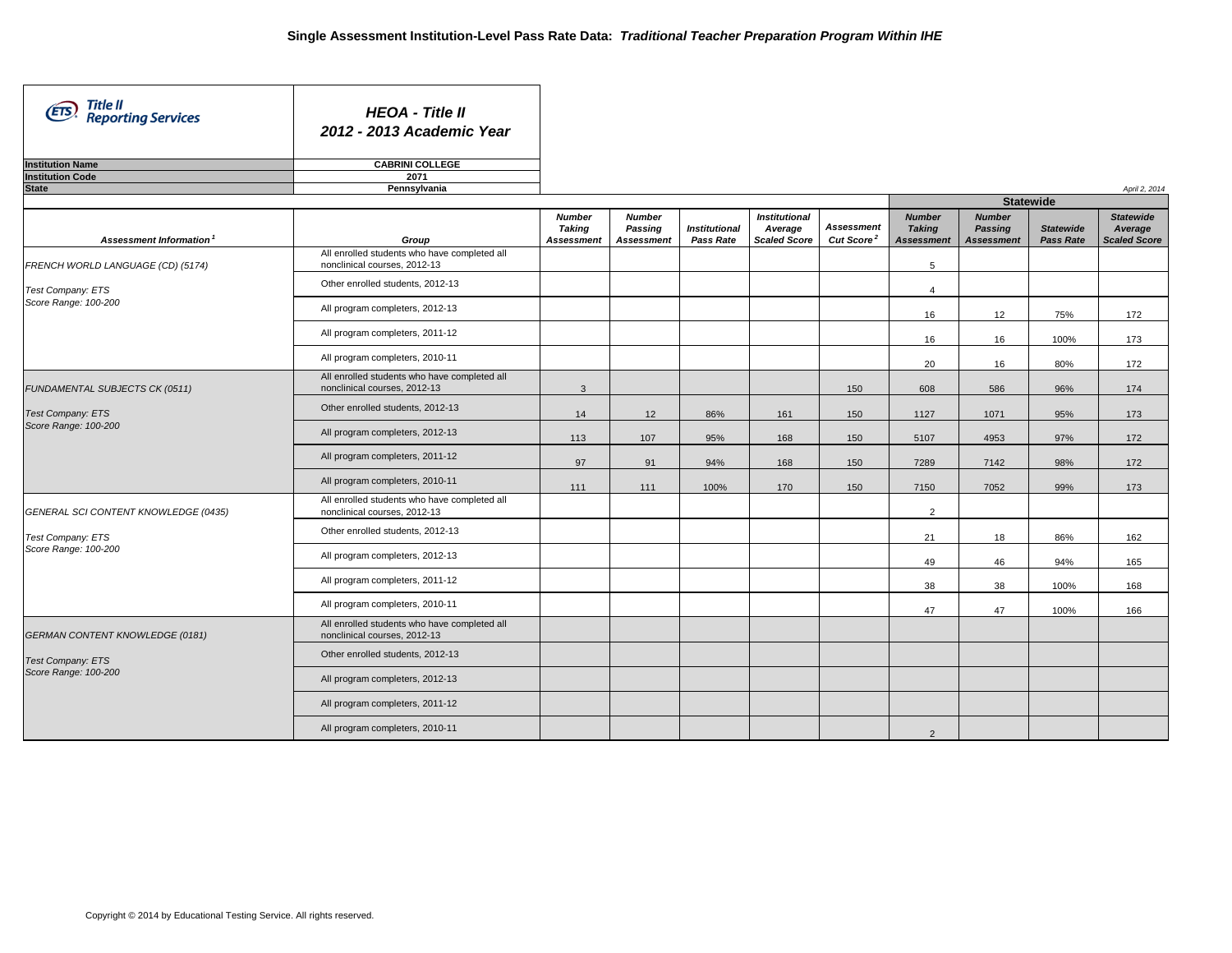| Title II<br>Reporting Services<br>(ETS)   | <b>HEOA - Title II</b><br>2012 - 2013 Academic Year                             |                                              |                                               |                                   |                                                        |                                             |                                                     |                                               |                                      |                                                    |
|-------------------------------------------|---------------------------------------------------------------------------------|----------------------------------------------|-----------------------------------------------|-----------------------------------|--------------------------------------------------------|---------------------------------------------|-----------------------------------------------------|-----------------------------------------------|--------------------------------------|----------------------------------------------------|
| <b>Institution Name</b>                   | <b>CABRINI COLLEGE</b>                                                          |                                              |                                               |                                   |                                                        |                                             |                                                     |                                               |                                      |                                                    |
| <b>Institution Code</b>                   | 2071                                                                            |                                              |                                               |                                   |                                                        |                                             |                                                     |                                               |                                      |                                                    |
| <b>State</b>                              | Pennsylvania                                                                    |                                              |                                               |                                   |                                                        |                                             |                                                     |                                               |                                      | April 2, 2014                                      |
|                                           |                                                                                 |                                              |                                               |                                   |                                                        |                                             |                                                     | <b>Statewide</b>                              |                                      |                                                    |
| Assessment Information <sup>1</sup>       | Group                                                                           | <b>Number</b><br>Taking<br><b>Assessment</b> | <b>Number</b><br>Passing<br><b>Assessment</b> | <b>Institutional</b><br>Pass Rate | <b>Institutional</b><br>Average<br><b>Scaled Score</b> | <b>Assessment</b><br>Cut Score <sup>2</sup> | <b>Number</b><br><b>Taking</b><br><b>Assessment</b> | <b>Number</b><br>Passing<br><b>Assessment</b> | <b>Statewide</b><br><b>Pass Rate</b> | <b>Statewide</b><br>Average<br><b>Scaled Score</b> |
| FRENCH WORLD LANGUAGE (CD) (5174)         | All enrolled students who have completed all<br>nonclinical courses, 2012-13    |                                              |                                               |                                   |                                                        |                                             | 5                                                   |                                               |                                      |                                                    |
| Test Company: ETS                         | Other enrolled students, 2012-13                                                |                                              |                                               |                                   |                                                        |                                             | $\overline{4}$                                      |                                               |                                      |                                                    |
| Score Range: 100-200                      | All program completers, 2012-13                                                 |                                              |                                               |                                   |                                                        |                                             | 16                                                  | 12                                            | 75%                                  | 172                                                |
|                                           | All program completers, 2011-12                                                 |                                              |                                               |                                   |                                                        |                                             | 16                                                  | 16                                            | 100%                                 | 173                                                |
|                                           | All program completers, 2010-11                                                 |                                              |                                               |                                   |                                                        |                                             | 20                                                  | 16                                            | 80%                                  | 172                                                |
| FUNDAMENTAL SUBJECTS CK (0511)            | All enrolled students who have completed all<br>nonclinical courses, 2012-13    | $\mathbf{3}$                                 |                                               |                                   |                                                        | 150                                         | 608                                                 | 586                                           | 96%                                  | 174                                                |
| Test Company: ETS                         | Other enrolled students, 2012-13                                                | 14                                           | 12                                            | 86%                               | 161                                                    | 150                                         | 1127                                                | 1071                                          | 95%                                  | 173                                                |
| Score Range: 100-200                      | All program completers, 2012-13                                                 | 113                                          | 107                                           | 95%                               | 168                                                    | 150                                         | 5107                                                | 4953                                          | 97%                                  | 172                                                |
|                                           | All program completers, 2011-12                                                 | 97                                           | 91                                            | 94%                               | 168                                                    | 150                                         | 7289                                                | 7142                                          | 98%                                  | 172                                                |
|                                           | All program completers, 2010-11<br>All enrolled students who have completed all | 111                                          | 111                                           | 100%                              | 170                                                    | 150                                         | 7150                                                | 7052                                          | 99%                                  | 173                                                |
| GENERAL SCI CONTENT KNOWLEDGE (0435)      | nonclinical courses, 2012-13                                                    |                                              |                                               |                                   |                                                        |                                             | 2                                                   |                                               |                                      |                                                    |
| Test Company: ETS<br>Score Range: 100-200 | Other enrolled students, 2012-13                                                |                                              |                                               |                                   |                                                        |                                             | 21                                                  | 18                                            | 86%                                  | 162                                                |
|                                           | All program completers, 2012-13                                                 |                                              |                                               |                                   |                                                        |                                             | 49                                                  | 46                                            | 94%                                  | 165                                                |
|                                           | All program completers, 2011-12                                                 |                                              |                                               |                                   |                                                        |                                             | 38                                                  | 38                                            | 100%                                 | 168                                                |
|                                           | All program completers, 2010-11<br>All enrolled students who have completed all |                                              |                                               |                                   |                                                        |                                             | 47                                                  | 47                                            | 100%                                 | 166                                                |
| GERMAN CONTENT KNOWLEDGE (0181)           | nonclinical courses, 2012-13                                                    |                                              |                                               |                                   |                                                        |                                             |                                                     |                                               |                                      |                                                    |
| Test Company: ETS                         | Other enrolled students, 2012-13                                                |                                              |                                               |                                   |                                                        |                                             |                                                     |                                               |                                      |                                                    |
| Score Range: 100-200                      | All program completers, 2012-13                                                 |                                              |                                               |                                   |                                                        |                                             |                                                     |                                               |                                      |                                                    |
|                                           | All program completers, 2011-12                                                 |                                              |                                               |                                   |                                                        |                                             |                                                     |                                               |                                      |                                                    |
|                                           | All program completers, 2010-11                                                 |                                              |                                               |                                   |                                                        |                                             | $\overline{2}$                                      |                                               |                                      |                                                    |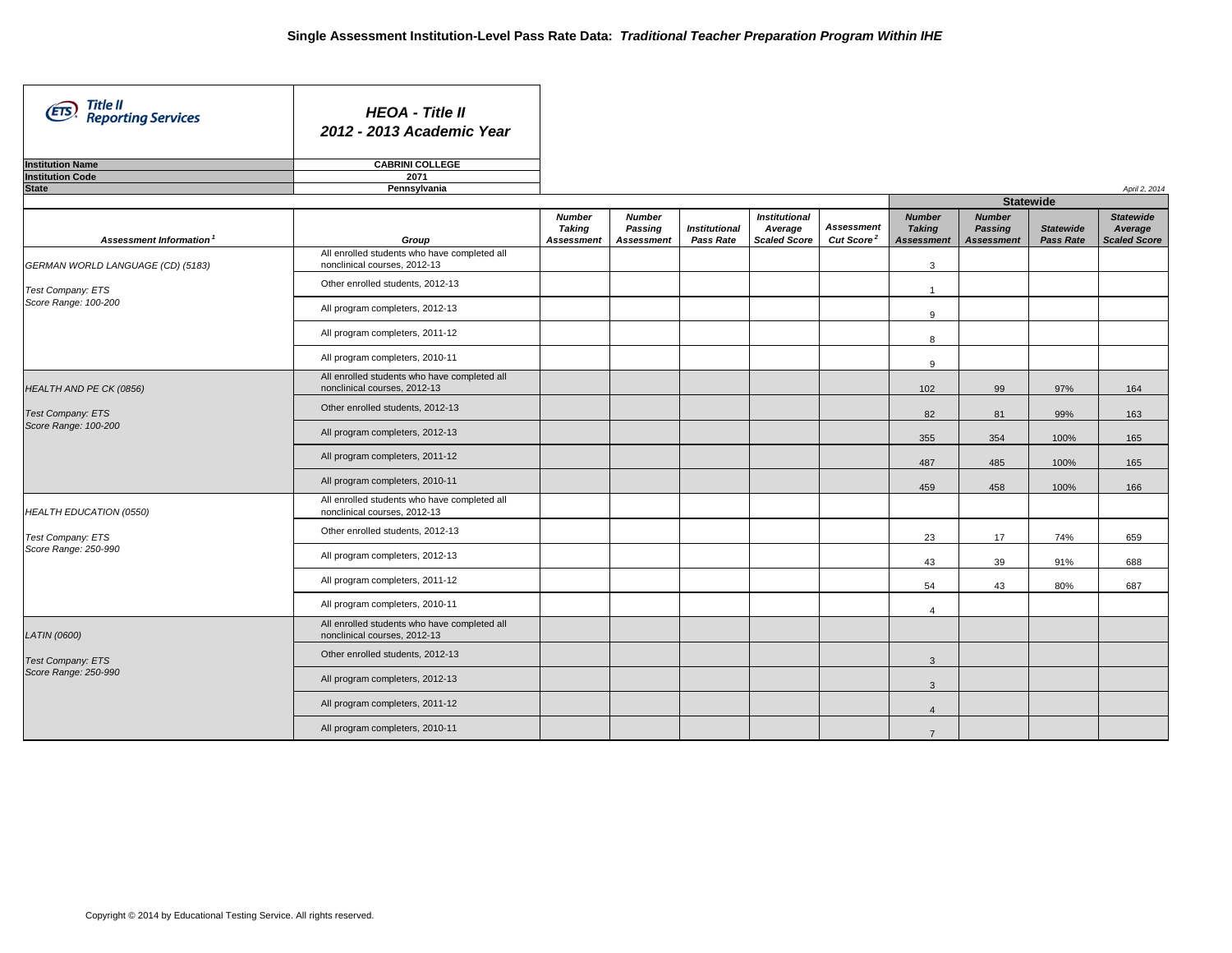| Title II<br>(ETS)<br><b>Reporting Services</b> | <b>HEOA - Title II</b><br>2012 - 2013 Academic Year                          |                                                     |                                               |                                   |                                                        |                                             |                                                     |                                               |                               |                                                    |
|------------------------------------------------|------------------------------------------------------------------------------|-----------------------------------------------------|-----------------------------------------------|-----------------------------------|--------------------------------------------------------|---------------------------------------------|-----------------------------------------------------|-----------------------------------------------|-------------------------------|----------------------------------------------------|
| <b>Institution Name</b>                        | <b>CABRINI COLLEGE</b>                                                       |                                                     |                                               |                                   |                                                        |                                             |                                                     |                                               |                               |                                                    |
| <b>Institution Code</b>                        | 2071                                                                         |                                                     |                                               |                                   |                                                        |                                             |                                                     |                                               |                               |                                                    |
| <b>State</b>                                   | Pennsylvania                                                                 |                                                     |                                               |                                   |                                                        |                                             |                                                     |                                               |                               | April 2, 2014                                      |
|                                                |                                                                              |                                                     |                                               |                                   |                                                        |                                             |                                                     | <b>Statewide</b>                              |                               |                                                    |
| Assessment Information <sup>1</sup>            | Group                                                                        | <b>Number</b><br><b>Taking</b><br><b>Assessment</b> | <b>Number</b><br>Passing<br><b>Assessment</b> | <b>Institutional</b><br>Pass Rate | <b>Institutional</b><br>Average<br><b>Scaled Score</b> | <b>Assessment</b><br>Cut Score <sup>2</sup> | <b>Number</b><br><b>Taking</b><br><b>Assessment</b> | <b>Number</b><br>Passing<br><b>Assessment</b> | <b>Statewide</b><br>Pass Rate | <b>Statewide</b><br>Average<br><b>Scaled Score</b> |
| GERMAN WORLD LANGUAGE (CD) (5183)              | All enrolled students who have completed all<br>nonclinical courses, 2012-13 |                                                     |                                               |                                   |                                                        |                                             | $\mathbf{3}$                                        |                                               |                               |                                                    |
| Test Company: ETS                              | Other enrolled students, 2012-13                                             |                                                     |                                               |                                   |                                                        |                                             | $\overline{1}$                                      |                                               |                               |                                                    |
| Score Range: 100-200                           | All program completers, 2012-13                                              |                                                     |                                               |                                   |                                                        |                                             | 9                                                   |                                               |                               |                                                    |
|                                                | All program completers, 2011-12                                              |                                                     |                                               |                                   |                                                        |                                             | 8                                                   |                                               |                               |                                                    |
|                                                | All program completers, 2010-11                                              |                                                     |                                               |                                   |                                                        |                                             | 9                                                   |                                               |                               |                                                    |
| HEALTH AND PE CK (0856)                        | All enrolled students who have completed all<br>nonclinical courses, 2012-13 |                                                     |                                               |                                   |                                                        |                                             | 102                                                 | 99                                            | 97%                           | 164                                                |
| <b>Test Company: ETS</b>                       | Other enrolled students, 2012-13                                             |                                                     |                                               |                                   |                                                        |                                             | 82                                                  | 81                                            | 99%                           | 163                                                |
| Score Range: 100-200                           | All program completers, 2012-13                                              |                                                     |                                               |                                   |                                                        |                                             | 355                                                 | 354                                           | 100%                          | 165                                                |
|                                                | All program completers, 2011-12                                              |                                                     |                                               |                                   |                                                        |                                             | 487                                                 | 485                                           | 100%                          | 165                                                |
|                                                | All program completers, 2010-11                                              |                                                     |                                               |                                   |                                                        |                                             | 459                                                 | 458                                           | 100%                          | 166                                                |
| HEALTH EDUCATION (0550)                        | All enrolled students who have completed all<br>nonclinical courses, 2012-13 |                                                     |                                               |                                   |                                                        |                                             |                                                     |                                               |                               |                                                    |
| Test Company: ETS                              | Other enrolled students, 2012-13                                             |                                                     |                                               |                                   |                                                        |                                             | 23                                                  | 17                                            | 74%                           | 659                                                |
| Score Range: 250-990                           | All program completers, 2012-13                                              |                                                     |                                               |                                   |                                                        |                                             | 43                                                  | 39                                            | 91%                           | 688                                                |
|                                                | All program completers, 2011-12                                              |                                                     |                                               |                                   |                                                        |                                             | 54                                                  | 43                                            | 80%                           | 687                                                |
|                                                | All program completers, 2010-11                                              |                                                     |                                               |                                   |                                                        |                                             | $\overline{4}$                                      |                                               |                               |                                                    |
| <b>LATIN (0600)</b>                            | All enrolled students who have completed all<br>nonclinical courses, 2012-13 |                                                     |                                               |                                   |                                                        |                                             |                                                     |                                               |                               |                                                    |
| Test Company: ETS                              | Other enrolled students, 2012-13                                             |                                                     |                                               |                                   |                                                        |                                             | $\mathbf{3}$                                        |                                               |                               |                                                    |
| Score Range: 250-990                           | All program completers, 2012-13                                              |                                                     |                                               |                                   |                                                        |                                             | $\mathbf{3}$                                        |                                               |                               |                                                    |
|                                                | All program completers, 2011-12                                              |                                                     |                                               |                                   |                                                        |                                             | $\overline{4}$                                      |                                               |                               |                                                    |
|                                                | All program completers, 2010-11                                              |                                                     |                                               |                                   |                                                        |                                             | $\overline{7}$                                      |                                               |                               |                                                    |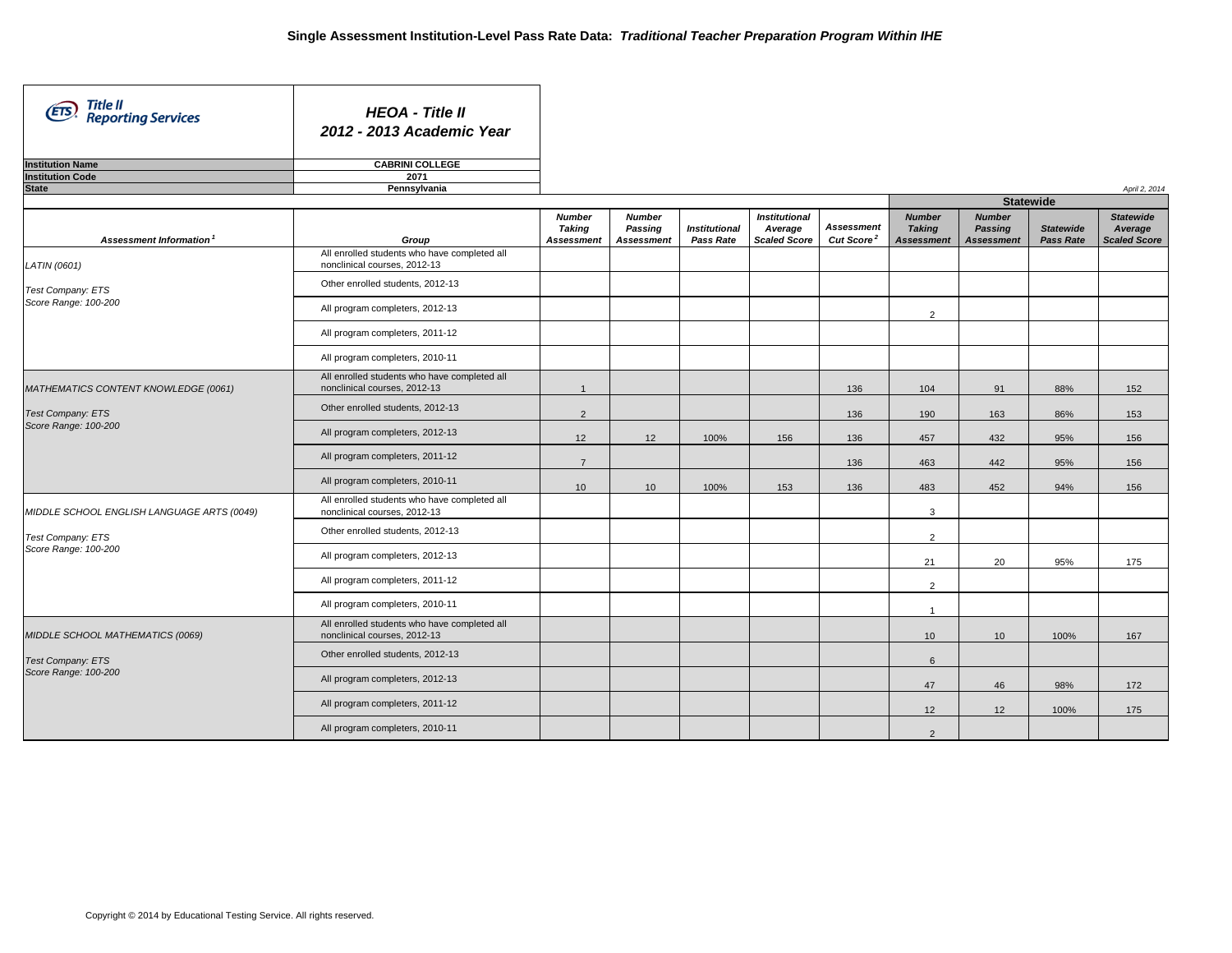| Title II<br>Reporting Services<br>(ETS)    | <b>HEOA - Title II</b><br>2012 - 2013 Academic Year                          |                                                     |                                               |                                   |                                                        |                                             |                                                     |                                               |                                      |                                                    |
|--------------------------------------------|------------------------------------------------------------------------------|-----------------------------------------------------|-----------------------------------------------|-----------------------------------|--------------------------------------------------------|---------------------------------------------|-----------------------------------------------------|-----------------------------------------------|--------------------------------------|----------------------------------------------------|
| <b>Institution Name</b>                    | <b>CABRINI COLLEGE</b>                                                       |                                                     |                                               |                                   |                                                        |                                             |                                                     |                                               |                                      |                                                    |
| <b>Institution Code</b>                    | 2071                                                                         |                                                     |                                               |                                   |                                                        |                                             |                                                     |                                               |                                      |                                                    |
| <b>State</b>                               | Pennsylvania                                                                 |                                                     |                                               |                                   |                                                        |                                             |                                                     |                                               |                                      | April 2, 2014                                      |
|                                            |                                                                              |                                                     |                                               |                                   |                                                        |                                             |                                                     | <b>Statewide</b>                              |                                      |                                                    |
| Assessment Information <sup>1</sup>        | Group                                                                        | <b>Number</b><br><b>Taking</b><br><b>Assessment</b> | <b>Number</b><br>Passing<br><b>Assessment</b> | <b>Institutional</b><br>Pass Rate | <b>Institutional</b><br>Average<br><b>Scaled Score</b> | <b>Assessment</b><br>Cut Score <sup>2</sup> | <b>Number</b><br><b>Taking</b><br><b>Assessment</b> | <b>Number</b><br>Passing<br><b>Assessment</b> | <b>Statewide</b><br><b>Pass Rate</b> | <b>Statewide</b><br>Average<br><b>Scaled Score</b> |
| LATIN (0601)                               | All enrolled students who have completed all<br>nonclinical courses, 2012-13 |                                                     |                                               |                                   |                                                        |                                             |                                                     |                                               |                                      |                                                    |
| Test Company: ETS                          | Other enrolled students, 2012-13                                             |                                                     |                                               |                                   |                                                        |                                             |                                                     |                                               |                                      |                                                    |
| Score Range: 100-200                       | All program completers, 2012-13                                              |                                                     |                                               |                                   |                                                        |                                             | $\overline{2}$                                      |                                               |                                      |                                                    |
|                                            | All program completers, 2011-12                                              |                                                     |                                               |                                   |                                                        |                                             |                                                     |                                               |                                      |                                                    |
|                                            | All program completers, 2010-11                                              |                                                     |                                               |                                   |                                                        |                                             |                                                     |                                               |                                      |                                                    |
| MATHEMATICS CONTENT KNOWLEDGE (0061)       | All enrolled students who have completed all<br>nonclinical courses, 2012-13 | $\overline{1}$                                      |                                               |                                   |                                                        | 136                                         | 104                                                 | 91                                            | 88%                                  | 152                                                |
| <b>Test Company: ETS</b>                   | Other enrolled students, 2012-13                                             | $\overline{2}$                                      |                                               |                                   |                                                        | 136                                         | 190                                                 | 163                                           | 86%                                  | 153                                                |
| Score Range: 100-200                       | All program completers, 2012-13                                              | 12                                                  | 12                                            | 100%                              | 156                                                    | 136                                         | 457                                                 | 432                                           | 95%                                  | 156                                                |
|                                            | All program completers, 2011-12                                              | $\overline{7}$                                      |                                               |                                   |                                                        | 136                                         | 463                                                 | 442                                           | 95%                                  | 156                                                |
|                                            | All program completers, 2010-11                                              | 10                                                  | 10                                            | 100%                              | 153                                                    | 136                                         | 483                                                 | 452                                           | 94%                                  | 156                                                |
| MIDDLE SCHOOL ENGLISH LANGUAGE ARTS (0049) | All enrolled students who have completed all<br>nonclinical courses, 2012-13 |                                                     |                                               |                                   |                                                        |                                             | $\mathbf{3}$                                        |                                               |                                      |                                                    |
| Test Company: ETS<br>Score Range: 100-200  | Other enrolled students, 2012-13                                             |                                                     |                                               |                                   |                                                        |                                             | $\overline{2}$                                      |                                               |                                      |                                                    |
|                                            | All program completers, 2012-13                                              |                                                     |                                               |                                   |                                                        |                                             | 21                                                  | 20                                            | 95%                                  | 175                                                |
|                                            | All program completers, 2011-12                                              |                                                     |                                               |                                   |                                                        |                                             | 2                                                   |                                               |                                      |                                                    |
|                                            | All program completers, 2010-11                                              |                                                     |                                               |                                   |                                                        |                                             | $\mathbf{1}$                                        |                                               |                                      |                                                    |
| MIDDLE SCHOOL MATHEMATICS (0069)           | All enrolled students who have completed all<br>nonclinical courses, 2012-13 |                                                     |                                               |                                   |                                                        |                                             | 10 <sup>1</sup>                                     | 10                                            | 100%                                 | 167                                                |
| <b>Test Company: ETS</b>                   | Other enrolled students, 2012-13                                             |                                                     |                                               |                                   |                                                        |                                             | 6                                                   |                                               |                                      |                                                    |
| Score Range: 100-200                       | All program completers, 2012-13                                              |                                                     |                                               |                                   |                                                        |                                             | 47                                                  | 46                                            | 98%                                  | 172                                                |
|                                            | All program completers, 2011-12                                              |                                                     |                                               |                                   |                                                        |                                             | 12                                                  | 12                                            | 100%                                 | 175                                                |
|                                            | All program completers, 2010-11                                              |                                                     |                                               |                                   |                                                        |                                             | $\overline{2}$                                      |                                               |                                      |                                                    |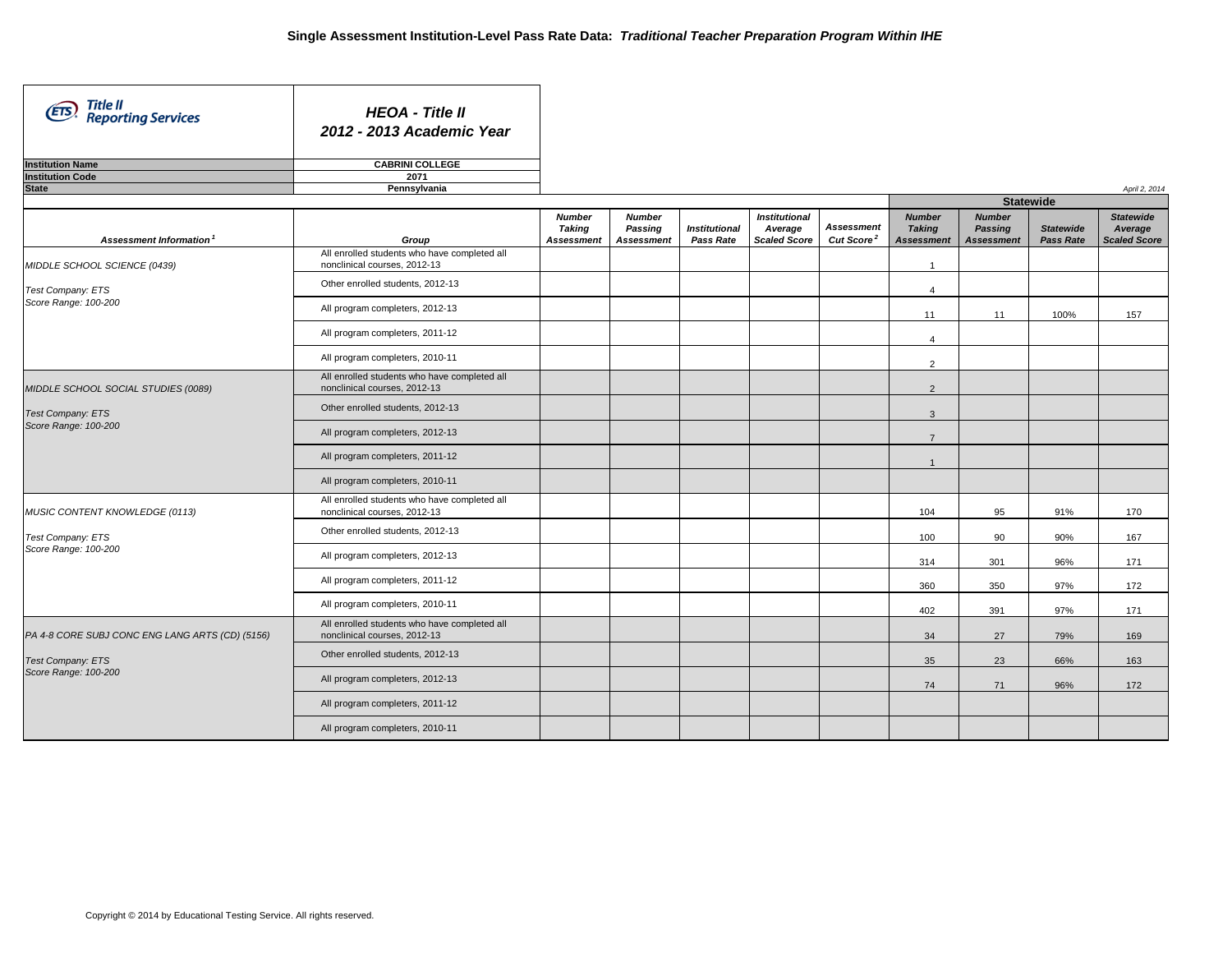| Title II<br>Reporting Services<br>(EIS)         | <b>HEOA - Title II</b><br>2012 - 2013 Academic Year                          |                                              |                                               |                                   |                                                        |                                             |                                                     |                                               |                                      |                                                    |
|-------------------------------------------------|------------------------------------------------------------------------------|----------------------------------------------|-----------------------------------------------|-----------------------------------|--------------------------------------------------------|---------------------------------------------|-----------------------------------------------------|-----------------------------------------------|--------------------------------------|----------------------------------------------------|
| <b>Institution Name</b>                         | <b>CABRINI COLLEGE</b>                                                       |                                              |                                               |                                   |                                                        |                                             |                                                     |                                               |                                      |                                                    |
| <b>Institution Code</b>                         | 2071                                                                         |                                              |                                               |                                   |                                                        |                                             |                                                     |                                               |                                      |                                                    |
| <b>State</b>                                    | Pennsylvania                                                                 |                                              |                                               |                                   |                                                        |                                             |                                                     |                                               |                                      | April 2, 2014                                      |
|                                                 |                                                                              |                                              |                                               |                                   |                                                        |                                             |                                                     | <b>Statewide</b>                              |                                      |                                                    |
| Assessment Information <sup>1</sup>             | Group                                                                        | <b>Number</b><br>Taking<br><b>Assessment</b> | <b>Number</b><br>Passing<br><b>Assessment</b> | <b>Institutional</b><br>Pass Rate | <b>Institutional</b><br>Average<br><b>Scaled Score</b> | <b>Assessment</b><br>Cut Score <sup>2</sup> | <b>Number</b><br><b>Taking</b><br><b>Assessment</b> | <b>Number</b><br>Passing<br><b>Assessment</b> | <b>Statewide</b><br><b>Pass Rate</b> | <b>Statewide</b><br>Average<br><b>Scaled Score</b> |
| MIDDLE SCHOOL SCIENCE (0439)                    | All enrolled students who have completed all<br>nonclinical courses, 2012-13 |                                              |                                               |                                   |                                                        |                                             | $\mathbf{1}$                                        |                                               |                                      |                                                    |
| Test Company: ETS                               | Other enrolled students, 2012-13                                             |                                              |                                               |                                   |                                                        |                                             | $\overline{4}$                                      |                                               |                                      |                                                    |
| Score Range: 100-200                            | All program completers, 2012-13                                              |                                              |                                               |                                   |                                                        |                                             | 11                                                  | 11                                            | 100%                                 | 157                                                |
|                                                 | All program completers, 2011-12                                              |                                              |                                               |                                   |                                                        |                                             | $\overline{4}$                                      |                                               |                                      |                                                    |
|                                                 | All program completers, 2010-11                                              |                                              |                                               |                                   |                                                        |                                             | 2                                                   |                                               |                                      |                                                    |
| MIDDLE SCHOOL SOCIAL STUDIES (0089)             | All enrolled students who have completed all<br>nonclinical courses, 2012-13 |                                              |                                               |                                   |                                                        |                                             | 2                                                   |                                               |                                      |                                                    |
| Test Company: ETS                               | Other enrolled students, 2012-13                                             |                                              |                                               |                                   |                                                        |                                             | $\mathbf{3}$                                        |                                               |                                      |                                                    |
| Score Range: 100-200                            | All program completers, 2012-13                                              |                                              |                                               |                                   |                                                        |                                             | $\overline{7}$                                      |                                               |                                      |                                                    |
|                                                 | All program completers, 2011-12                                              |                                              |                                               |                                   |                                                        |                                             | $\overline{1}$                                      |                                               |                                      |                                                    |
|                                                 | All program completers, 2010-11                                              |                                              |                                               |                                   |                                                        |                                             |                                                     |                                               |                                      |                                                    |
| MUSIC CONTENT KNOWLEDGE (0113)                  | All enrolled students who have completed all<br>nonclinical courses, 2012-13 |                                              |                                               |                                   |                                                        |                                             | 104                                                 | 95                                            | 91%                                  | 170                                                |
| Test Company: ETS                               | Other enrolled students, 2012-13                                             |                                              |                                               |                                   |                                                        |                                             | 100                                                 | 90                                            | 90%                                  | 167                                                |
| Score Range: 100-200                            | All program completers, 2012-13                                              |                                              |                                               |                                   |                                                        |                                             | 314                                                 | 301                                           | 96%                                  | 171                                                |
|                                                 | All program completers, 2011-12                                              |                                              |                                               |                                   |                                                        |                                             | 360                                                 | 350                                           | 97%                                  | 172                                                |
|                                                 | All program completers, 2010-11                                              |                                              |                                               |                                   |                                                        |                                             | 402                                                 | 391                                           | 97%                                  | 171                                                |
| PA 4-8 CORE SUBJ CONC ENG LANG ARTS (CD) (5156) | All enrolled students who have completed all<br>nonclinical courses, 2012-13 |                                              |                                               |                                   |                                                        |                                             | 34                                                  | 27                                            | 79%                                  | 169                                                |
| Test Company: ETS                               | Other enrolled students, 2012-13                                             |                                              |                                               |                                   |                                                        |                                             | 35                                                  | 23                                            | 66%                                  | 163                                                |
| Score Range: 100-200                            | All program completers, 2012-13                                              |                                              |                                               |                                   |                                                        |                                             | 74                                                  | 71                                            | 96%                                  | 172                                                |
|                                                 | All program completers, 2011-12                                              |                                              |                                               |                                   |                                                        |                                             |                                                     |                                               |                                      |                                                    |
|                                                 | All program completers, 2010-11                                              |                                              |                                               |                                   |                                                        |                                             |                                                     |                                               |                                      |                                                    |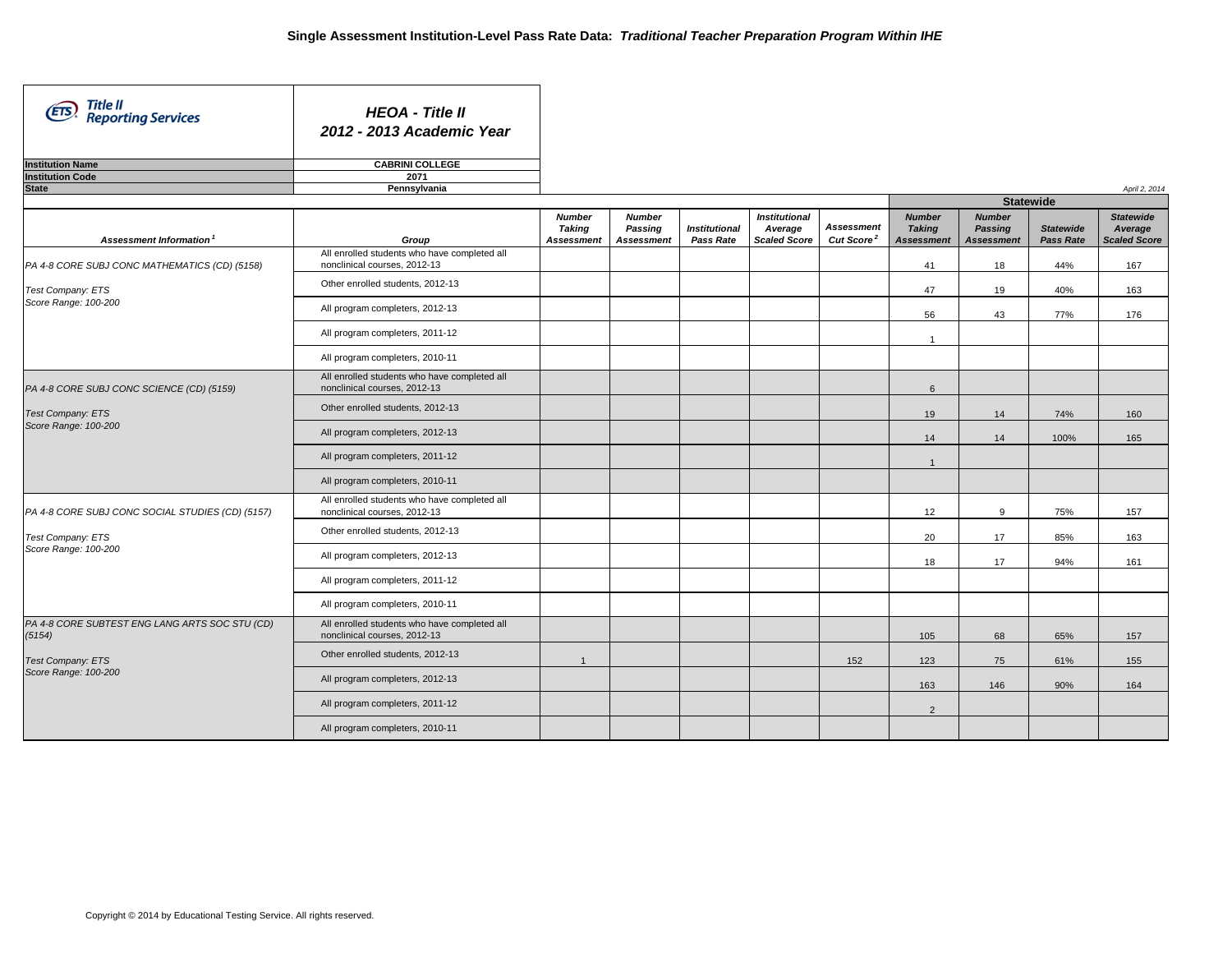| Title II<br>Reporting Services<br>(ETS)                  | <b>HEOA - Title II</b><br>2012 - 2013 Academic Year                          |                                              |                                               |                                          |                                                        |                                             |                                                     |                                                      |                                      |                                                    |
|----------------------------------------------------------|------------------------------------------------------------------------------|----------------------------------------------|-----------------------------------------------|------------------------------------------|--------------------------------------------------------|---------------------------------------------|-----------------------------------------------------|------------------------------------------------------|--------------------------------------|----------------------------------------------------|
| <b>Institution Name</b>                                  | <b>CABRINI COLLEGE</b>                                                       |                                              |                                               |                                          |                                                        |                                             |                                                     |                                                      |                                      |                                                    |
| <b>Institution Code</b>                                  | 2071                                                                         |                                              |                                               |                                          |                                                        |                                             |                                                     |                                                      |                                      |                                                    |
| <b>State</b>                                             | Pennsylvania                                                                 |                                              |                                               |                                          |                                                        |                                             |                                                     | <b>Statewide</b>                                     |                                      | April 2, 2014                                      |
|                                                          |                                                                              |                                              |                                               |                                          |                                                        |                                             |                                                     |                                                      |                                      |                                                    |
| Assessment Information <sup>1</sup>                      | Group                                                                        | <b>Number</b><br>Taking<br><b>Assessment</b> | <b>Number</b><br>Passing<br><b>Assessment</b> | <b>Institutional</b><br><b>Pass Rate</b> | <b>Institutional</b><br>Average<br><b>Scaled Score</b> | <b>Assessment</b><br>Cut Score <sup>2</sup> | <b>Number</b><br><b>Taking</b><br><b>Assessment</b> | <b>Number</b><br><b>Passing</b><br><b>Assessment</b> | <b>Statewide</b><br><b>Pass Rate</b> | <b>Statewide</b><br>Average<br><b>Scaled Score</b> |
| PA 4-8 CORE SUBJ CONC MATHEMATICS (CD) (5158)            | All enrolled students who have completed all<br>nonclinical courses, 2012-13 |                                              |                                               |                                          |                                                        |                                             | 41                                                  | 18                                                   | 44%                                  | 167                                                |
| Test Company: ETS                                        | Other enrolled students, 2012-13                                             |                                              |                                               |                                          |                                                        |                                             | 47                                                  | 19                                                   | 40%                                  | 163                                                |
| Score Range: 100-200                                     | All program completers, 2012-13                                              |                                              |                                               |                                          |                                                        |                                             | 56                                                  | 43                                                   | 77%                                  | 176                                                |
|                                                          | All program completers, 2011-12                                              |                                              |                                               |                                          |                                                        |                                             | $\overline{1}$                                      |                                                      |                                      |                                                    |
|                                                          | All program completers, 2010-11                                              |                                              |                                               |                                          |                                                        |                                             |                                                     |                                                      |                                      |                                                    |
| PA 4-8 CORE SUBJ CONC SCIENCE (CD) (5159)                | All enrolled students who have completed all<br>nonclinical courses, 2012-13 |                                              |                                               |                                          |                                                        |                                             | 6                                                   |                                                      |                                      |                                                    |
| Test Company: ETS                                        | Other enrolled students, 2012-13                                             |                                              |                                               |                                          |                                                        |                                             | 19                                                  | 14                                                   | 74%                                  | 160                                                |
| Score Range: 100-200                                     | All program completers, 2012-13                                              |                                              |                                               |                                          |                                                        |                                             | 14                                                  | 14                                                   | 100%                                 | 165                                                |
|                                                          | All program completers, 2011-12                                              |                                              |                                               |                                          |                                                        |                                             | $\overline{1}$                                      |                                                      |                                      |                                                    |
|                                                          | All program completers, 2010-11                                              |                                              |                                               |                                          |                                                        |                                             |                                                     |                                                      |                                      |                                                    |
| PA 4-8 CORE SUBJ CONC SOCIAL STUDIES (CD) (5157)         | All enrolled students who have completed all<br>nonclinical courses, 2012-13 |                                              |                                               |                                          |                                                        |                                             | 12                                                  | 9                                                    | 75%                                  | 157                                                |
| Test Company: ETS                                        | Other enrolled students, 2012-13                                             |                                              |                                               |                                          |                                                        |                                             | 20                                                  | 17                                                   | 85%                                  | 163                                                |
| Score Range: 100-200                                     | All program completers, 2012-13                                              |                                              |                                               |                                          |                                                        |                                             | 18                                                  | 17                                                   | 94%                                  | 161                                                |
|                                                          | All program completers, 2011-12                                              |                                              |                                               |                                          |                                                        |                                             |                                                     |                                                      |                                      |                                                    |
|                                                          | All program completers, 2010-11                                              |                                              |                                               |                                          |                                                        |                                             |                                                     |                                                      |                                      |                                                    |
| PA 4-8 CORE SUBTEST ENG LANG ARTS SOC STU (CD)<br>(5154) | All enrolled students who have completed all<br>nonclinical courses, 2012-13 |                                              |                                               |                                          |                                                        |                                             | 105                                                 | 68                                                   | 65%                                  | 157                                                |
| Test Company: ETS                                        | Other enrolled students, 2012-13                                             | $\mathbf{1}$                                 |                                               |                                          |                                                        | 152                                         | 123                                                 | 75                                                   | 61%                                  | 155                                                |
| Score Range: 100-200                                     | All program completers, 2012-13                                              |                                              |                                               |                                          |                                                        |                                             | 163                                                 | 146                                                  | 90%                                  | 164                                                |
|                                                          | All program completers, 2011-12                                              |                                              |                                               |                                          |                                                        |                                             | $\overline{2}$                                      |                                                      |                                      |                                                    |
|                                                          | All program completers, 2010-11                                              |                                              |                                               |                                          |                                                        |                                             |                                                     |                                                      |                                      |                                                    |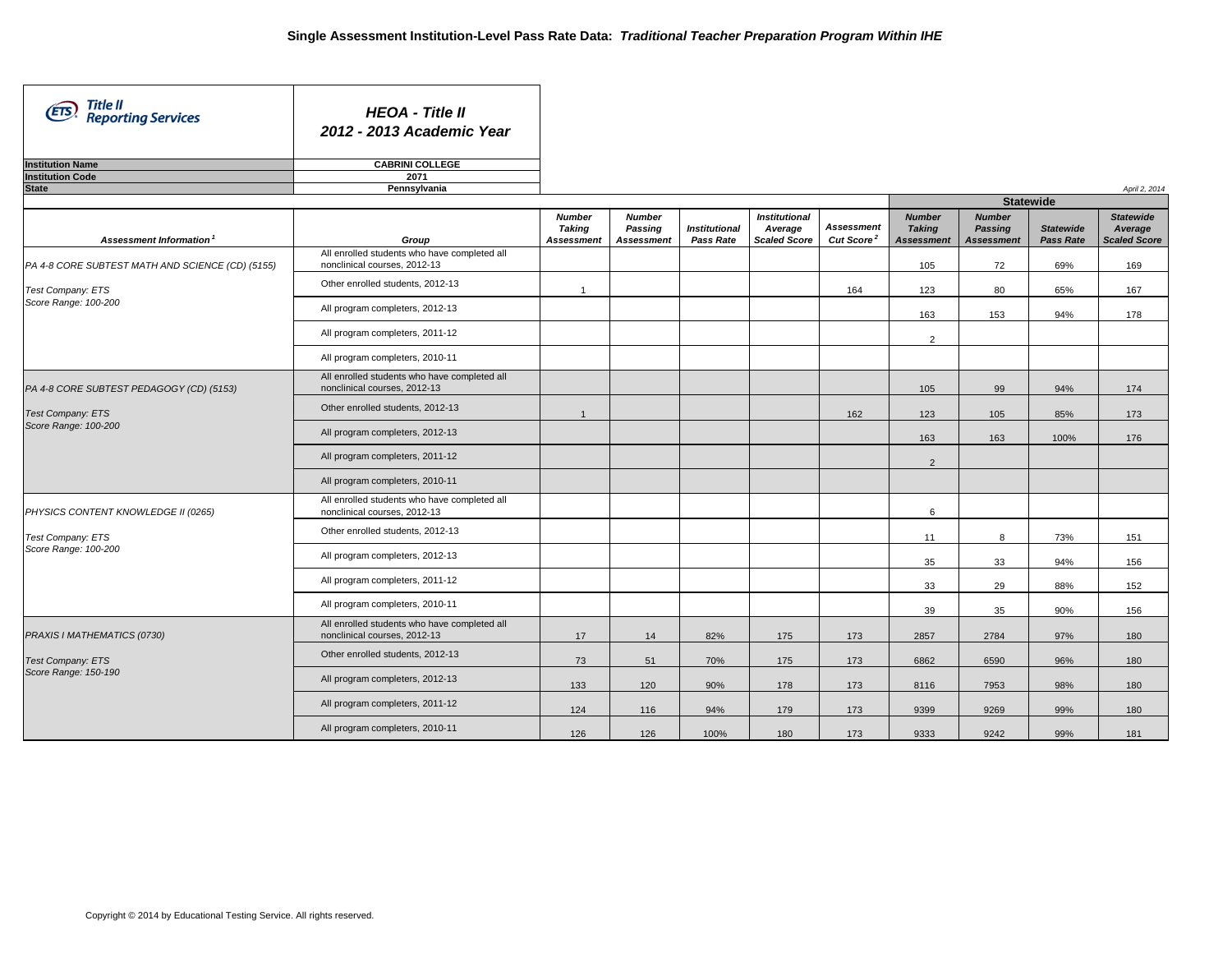| Title II<br>(ETS<br><b>Reporting Services</b>    | <b>HEOA - Title II</b><br>2012 - 2013 Academic Year                             |                                              |                                               |                                   |                                                        |                                             |                                                     |                                               |                               |                                                    |
|--------------------------------------------------|---------------------------------------------------------------------------------|----------------------------------------------|-----------------------------------------------|-----------------------------------|--------------------------------------------------------|---------------------------------------------|-----------------------------------------------------|-----------------------------------------------|-------------------------------|----------------------------------------------------|
| <b>Institution Name</b>                          | <b>CABRINI COLLEGE</b>                                                          |                                              |                                               |                                   |                                                        |                                             |                                                     |                                               |                               |                                                    |
| <b>Institution Code</b>                          | 2071                                                                            |                                              |                                               |                                   |                                                        |                                             |                                                     |                                               |                               |                                                    |
| <b>State</b>                                     | Pennsylvania                                                                    |                                              |                                               |                                   |                                                        |                                             |                                                     |                                               |                               | April 2, 2014                                      |
|                                                  |                                                                                 |                                              |                                               |                                   |                                                        |                                             |                                                     | <b>Statewide</b>                              |                               |                                                    |
| Assessment Information <sup>1</sup>              | Group                                                                           | <b>Number</b><br>Taking<br><b>Assessment</b> | <b>Number</b><br>Passing<br><b>Assessment</b> | <b>Institutional</b><br>Pass Rate | <b>Institutional</b><br>Average<br><b>Scaled Score</b> | <b>Assessment</b><br>Cut Score <sup>2</sup> | <b>Number</b><br><b>Taking</b><br><b>Assessment</b> | <b>Number</b><br>Passing<br><b>Assessment</b> | <b>Statewide</b><br>Pass Rate | <b>Statewide</b><br>Average<br><b>Scaled Score</b> |
| PA 4-8 CORE SUBTEST MATH AND SCIENCE (CD) (5155) | All enrolled students who have completed all<br>nonclinical courses, 2012-13    |                                              |                                               |                                   |                                                        |                                             | 105                                                 | 72                                            | 69%                           | 169                                                |
| Test Company: ETS                                | Other enrolled students, 2012-13                                                | $\overline{1}$                               |                                               |                                   |                                                        | 164                                         | 123                                                 | 80                                            | 65%                           | 167                                                |
| Score Range: 100-200                             | All program completers, 2012-13                                                 |                                              |                                               |                                   |                                                        |                                             | 163                                                 | 153                                           | 94%                           | 178                                                |
|                                                  | All program completers, 2011-12                                                 |                                              |                                               |                                   |                                                        |                                             | $\overline{2}$                                      |                                               |                               |                                                    |
|                                                  | All program completers, 2010-11<br>All enrolled students who have completed all |                                              |                                               |                                   |                                                        |                                             |                                                     |                                               |                               |                                                    |
| PA 4-8 CORE SUBTEST PEDAGOGY (CD) (5153)         | nonclinical courses, 2012-13                                                    |                                              |                                               |                                   |                                                        |                                             | 105                                                 | 99                                            | 94%                           | 174                                                |
| Test Company: ETS<br>Score Range: 100-200        | Other enrolled students, 2012-13                                                | $\overline{1}$                               |                                               |                                   |                                                        | 162                                         | 123                                                 | 105                                           | 85%                           | 173                                                |
|                                                  | All program completers, 2012-13                                                 |                                              |                                               |                                   |                                                        |                                             | 163                                                 | 163                                           | 100%                          | 176                                                |
|                                                  | All program completers, 2011-12                                                 |                                              |                                               |                                   |                                                        |                                             | $\overline{2}$                                      |                                               |                               |                                                    |
|                                                  | All program completers, 2010-11<br>All enrolled students who have completed all |                                              |                                               |                                   |                                                        |                                             |                                                     |                                               |                               |                                                    |
| PHYSICS CONTENT KNOWLEDGE II (0265)              | nonclinical courses, 2012-13                                                    |                                              |                                               |                                   |                                                        |                                             | 6                                                   |                                               |                               |                                                    |
| Test Company: ETS<br>Score Range: 100-200        | Other enrolled students, 2012-13                                                |                                              |                                               |                                   |                                                        |                                             | 11                                                  | 8                                             | 73%                           | 151                                                |
|                                                  | All program completers, 2012-13                                                 |                                              |                                               |                                   |                                                        |                                             | 35                                                  | 33                                            | 94%                           | 156                                                |
|                                                  | All program completers, 2011-12                                                 |                                              |                                               |                                   |                                                        |                                             | 33                                                  | 29                                            | 88%                           | 152                                                |
|                                                  | All program completers, 2010-11<br>All enrolled students who have completed all |                                              |                                               |                                   |                                                        |                                             | 39                                                  | 35                                            | 90%                           | 156                                                |
| PRAXIS I MATHEMATICS (0730)                      | nonclinical courses, 2012-13                                                    | 17                                           | 14                                            | 82%                               | 175                                                    | 173                                         | 2857                                                | 2784                                          | 97%                           | 180                                                |
| <b>Test Company: ETS</b><br>Score Range: 150-190 | Other enrolled students, 2012-13                                                | 73                                           | 51                                            | 70%                               | 175                                                    | 173                                         | 6862                                                | 6590                                          | 96%                           | 180                                                |
|                                                  | All program completers, 2012-13                                                 | 133                                          | 120                                           | 90%                               | 178                                                    | 173                                         | 8116                                                | 7953                                          | 98%                           | 180                                                |
|                                                  | All program completers, 2011-12                                                 | 124                                          | 116                                           | 94%                               | 179                                                    | 173                                         | 9399                                                | 9269                                          | 99%                           | 180                                                |
|                                                  | All program completers, 2010-11                                                 | 126                                          | 126                                           | 100%                              | 180                                                    | 173                                         | 9333                                                | 9242                                          | 99%                           | 181                                                |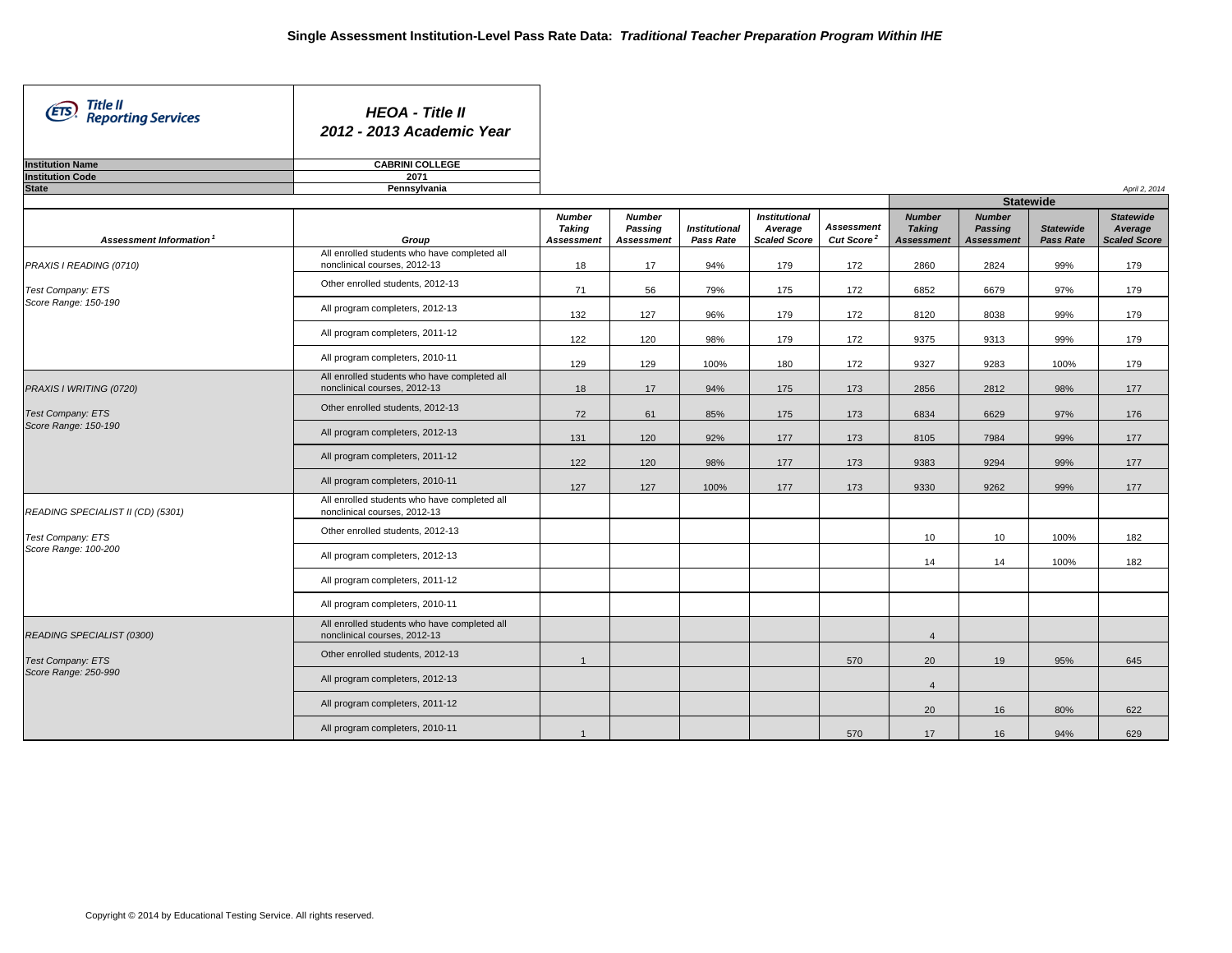| Title II<br>(ETS)<br><b>Reporting Services</b> | <b>HEOA - Title II</b><br>2012 - 2013 Academic Year                             |                                                     |                                               |                                   |                                                        |                                             |                                                     |                                                      |                               |                                                    |
|------------------------------------------------|---------------------------------------------------------------------------------|-----------------------------------------------------|-----------------------------------------------|-----------------------------------|--------------------------------------------------------|---------------------------------------------|-----------------------------------------------------|------------------------------------------------------|-------------------------------|----------------------------------------------------|
| <b>Institution Name</b>                        | <b>CABRINI COLLEGE</b>                                                          |                                                     |                                               |                                   |                                                        |                                             |                                                     |                                                      |                               |                                                    |
| <b>Institution Code</b>                        | 2071                                                                            |                                                     |                                               |                                   |                                                        |                                             |                                                     |                                                      |                               |                                                    |
| <b>State</b>                                   | Pennsylvania                                                                    |                                                     |                                               |                                   |                                                        |                                             |                                                     |                                                      |                               | April 2, 2014                                      |
|                                                |                                                                                 |                                                     |                                               |                                   |                                                        |                                             |                                                     | <b>Statewide</b>                                     |                               |                                                    |
| Assessment Information <sup>1</sup>            | Group                                                                           | <b>Number</b><br><b>Taking</b><br><b>Assessment</b> | <b>Number</b><br>Passing<br><b>Assessment</b> | <b>Institutional</b><br>Pass Rate | <b>Institutional</b><br>Average<br><b>Scaled Score</b> | <b>Assessment</b><br>Cut Score <sup>2</sup> | <b>Number</b><br><b>Taking</b><br><b>Assessment</b> | <b>Number</b><br><b>Passing</b><br><b>Assessment</b> | <b>Statewide</b><br>Pass Rate | <b>Statewide</b><br>Average<br><b>Scaled Score</b> |
| PRAXIS I READING (0710)                        | All enrolled students who have completed all<br>nonclinical courses, 2012-13    | 18                                                  | 17                                            | 94%                               | 179                                                    | 172                                         | 2860                                                | 2824                                                 | 99%                           | 179                                                |
| Test Company: ETS                              | Other enrolled students, 2012-13                                                | 71                                                  | 56                                            | 79%                               | 175                                                    | 172                                         | 6852                                                | 6679                                                 | 97%                           | 179                                                |
| Score Range: 150-190                           | All program completers, 2012-13                                                 | 132                                                 | 127                                           | 96%                               | 179                                                    | 172                                         | 8120                                                | 8038                                                 | 99%                           | 179                                                |
|                                                | All program completers, 2011-12                                                 | 122                                                 | 120                                           | 98%                               | 179                                                    | 172                                         | 9375                                                | 9313                                                 | 99%                           | 179                                                |
|                                                | All program completers, 2010-11                                                 | 129                                                 | 129                                           | 100%                              | 180                                                    | 172                                         | 9327                                                | 9283                                                 | 100%                          | 179                                                |
| PRAXIS I WRITING (0720)                        | All enrolled students who have completed all<br>nonclinical courses, 2012-13    | 18                                                  | 17                                            | 94%                               | 175                                                    | 173                                         | 2856                                                | 2812                                                 | 98%                           | 177                                                |
| Test Company: ETS<br>Score Range: 150-190      | Other enrolled students, 2012-13                                                | 72                                                  | 61                                            | 85%                               | 175                                                    | 173                                         | 6834                                                | 6629                                                 | 97%                           | 176                                                |
|                                                | All program completers, 2012-13                                                 | 131                                                 | 120                                           | 92%                               | 177                                                    | 173                                         | 8105                                                | 7984                                                 | 99%                           | 177                                                |
|                                                | All program completers, 2011-12                                                 | 122                                                 | 120                                           | 98%                               | 177                                                    | 173                                         | 9383                                                | 9294                                                 | 99%                           | 177                                                |
|                                                | All program completers, 2010-11<br>All enrolled students who have completed all | 127                                                 | 127                                           | 100%                              | 177                                                    | 173                                         | 9330                                                | 9262                                                 | 99%                           | 177                                                |
| READING SPECIALIST II (CD) (5301)              | nonclinical courses, 2012-13                                                    |                                                     |                                               |                                   |                                                        |                                             |                                                     |                                                      |                               |                                                    |
| Test Company: ETS<br>Score Range: 100-200      | Other enrolled students, 2012-13                                                |                                                     |                                               |                                   |                                                        |                                             | 10 <sup>1</sup>                                     | 10                                                   | 100%                          | 182                                                |
|                                                | All program completers, 2012-13<br>All program completers, 2011-12              |                                                     |                                               |                                   |                                                        |                                             | 14                                                  | 14                                                   | 100%                          | 182                                                |
|                                                | All program completers, 2010-11                                                 |                                                     |                                               |                                   |                                                        |                                             |                                                     |                                                      |                               |                                                    |
|                                                | All enrolled students who have completed all                                    |                                                     |                                               |                                   |                                                        |                                             |                                                     |                                                      |                               |                                                    |
| READING SPECIALIST (0300)                      | nonclinical courses, 2012-13<br>Other enrolled students, 2012-13                |                                                     |                                               |                                   |                                                        |                                             | $\overline{4}$                                      |                                                      |                               |                                                    |
| Test Company: ETS<br>Score Range: 250-990      | All program completers, 2012-13                                                 | $\overline{1}$                                      |                                               |                                   |                                                        | 570                                         | 20                                                  | 19                                                   | 95%                           | 645                                                |
|                                                |                                                                                 |                                                     |                                               |                                   |                                                        |                                             | $\overline{4}$                                      |                                                      |                               |                                                    |
|                                                | All program completers, 2011-12                                                 |                                                     |                                               |                                   |                                                        |                                             | 20                                                  | 16                                                   | 80%                           | 622                                                |
|                                                | All program completers, 2010-11                                                 | -1                                                  |                                               |                                   |                                                        | 570                                         | 17                                                  | 16                                                   | 94%                           | 629                                                |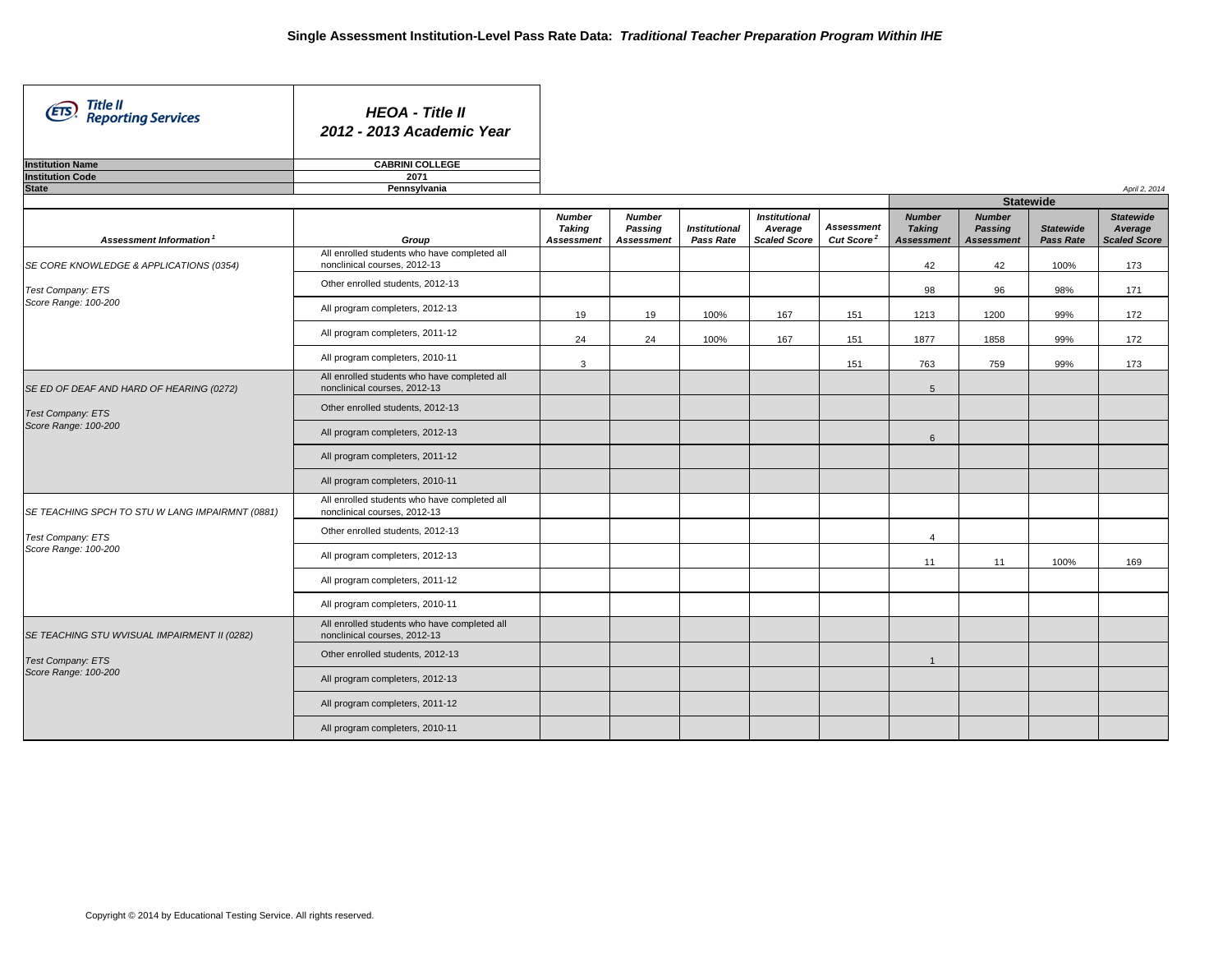| Title II<br>Reporting Services<br>(EIS)         | <b>HEOA - Title II</b><br>2012 - 2013 Academic Year                          |                                                     |                                               |                                   |                                                        |                                             |                                                     |                                               |                               |                                                    |
|-------------------------------------------------|------------------------------------------------------------------------------|-----------------------------------------------------|-----------------------------------------------|-----------------------------------|--------------------------------------------------------|---------------------------------------------|-----------------------------------------------------|-----------------------------------------------|-------------------------------|----------------------------------------------------|
| <b>Institution Name</b>                         | <b>CABRINI COLLEGE</b>                                                       |                                                     |                                               |                                   |                                                        |                                             |                                                     |                                               |                               |                                                    |
| <b>Institution Code</b>                         | 2071                                                                         |                                                     |                                               |                                   |                                                        |                                             |                                                     |                                               |                               |                                                    |
| <b>State</b>                                    | Pennsylvania                                                                 |                                                     |                                               |                                   |                                                        |                                             |                                                     |                                               |                               | April 2, 2014                                      |
|                                                 |                                                                              |                                                     |                                               |                                   |                                                        |                                             |                                                     |                                               | <b>Statewide</b>              |                                                    |
| Assessment Information <sup>1</sup>             | Group                                                                        | <b>Number</b><br><b>Taking</b><br><b>Assessment</b> | <b>Number</b><br>Passing<br><b>Assessment</b> | <b>Institutional</b><br>Pass Rate | <b>Institutional</b><br>Average<br><b>Scaled Score</b> | <b>Assessment</b><br>Cut Score <sup>2</sup> | <b>Number</b><br><b>Taking</b><br><b>Assessment</b> | <b>Number</b><br>Passing<br><b>Assessment</b> | <b>Statewide</b><br>Pass Rate | <b>Statewide</b><br>Average<br><b>Scaled Score</b> |
| SE CORE KNOWLEDGE & APPLICATIONS (0354)         | All enrolled students who have completed all<br>nonclinical courses, 2012-13 |                                                     |                                               |                                   |                                                        |                                             | 42                                                  | 42                                            | 100%                          | 173                                                |
| Test Company: ETS                               | Other enrolled students, 2012-13                                             |                                                     |                                               |                                   |                                                        |                                             | 98                                                  | 96                                            | 98%                           | 171                                                |
| Score Range: 100-200                            | All program completers, 2012-13                                              | 19                                                  | 19                                            | 100%                              | 167                                                    | 151                                         | 1213                                                | 1200                                          | 99%                           | 172                                                |
|                                                 | All program completers, 2011-12                                              | 24                                                  | 24                                            | 100%                              | 167                                                    | 151                                         | 1877                                                | 1858                                          | 99%                           | 172                                                |
|                                                 | All program completers, 2010-11                                              | 3                                                   |                                               |                                   |                                                        | 151                                         | 763                                                 | 759                                           | 99%                           | 173                                                |
| SE ED OF DEAF AND HARD OF HEARING (0272)        | All enrolled students who have completed all<br>nonclinical courses, 2012-13 |                                                     |                                               |                                   |                                                        |                                             | $5\overline{5}$                                     |                                               |                               |                                                    |
| Test Company: ETS                               | Other enrolled students, 2012-13                                             |                                                     |                                               |                                   |                                                        |                                             |                                                     |                                               |                               |                                                    |
| Score Range: 100-200                            | All program completers, 2012-13                                              |                                                     |                                               |                                   |                                                        |                                             | $6\phantom{1}$                                      |                                               |                               |                                                    |
|                                                 | All program completers, 2011-12                                              |                                                     |                                               |                                   |                                                        |                                             |                                                     |                                               |                               |                                                    |
|                                                 | All program completers, 2010-11                                              |                                                     |                                               |                                   |                                                        |                                             |                                                     |                                               |                               |                                                    |
| SE TEACHING SPCH TO STU W LANG IMPAIRMNT (0881) | All enrolled students who have completed all<br>nonclinical courses, 2012-13 |                                                     |                                               |                                   |                                                        |                                             |                                                     |                                               |                               |                                                    |
| Test Company: ETS                               | Other enrolled students, 2012-13                                             |                                                     |                                               |                                   |                                                        |                                             | $\overline{4}$                                      |                                               |                               |                                                    |
| Score Range: 100-200                            | All program completers, 2012-13                                              |                                                     |                                               |                                   |                                                        |                                             | 11                                                  | 11                                            | 100%                          | 169                                                |
|                                                 | All program completers, 2011-12                                              |                                                     |                                               |                                   |                                                        |                                             |                                                     |                                               |                               |                                                    |
|                                                 | All program completers, 2010-11                                              |                                                     |                                               |                                   |                                                        |                                             |                                                     |                                               |                               |                                                    |
| SE TEACHING STU WVISUAL IMPAIRMENT II (0282)    | All enrolled students who have completed all<br>nonclinical courses, 2012-13 |                                                     |                                               |                                   |                                                        |                                             |                                                     |                                               |                               |                                                    |
| Test Company: ETS                               | Other enrolled students, 2012-13                                             |                                                     |                                               |                                   |                                                        |                                             | $\mathbf{1}$                                        |                                               |                               |                                                    |
| Score Range: 100-200                            | All program completers, 2012-13                                              |                                                     |                                               |                                   |                                                        |                                             |                                                     |                                               |                               |                                                    |
|                                                 | All program completers, 2011-12                                              |                                                     |                                               |                                   |                                                        |                                             |                                                     |                                               |                               |                                                    |
|                                                 | All program completers, 2010-11                                              |                                                     |                                               |                                   |                                                        |                                             |                                                     |                                               |                               |                                                    |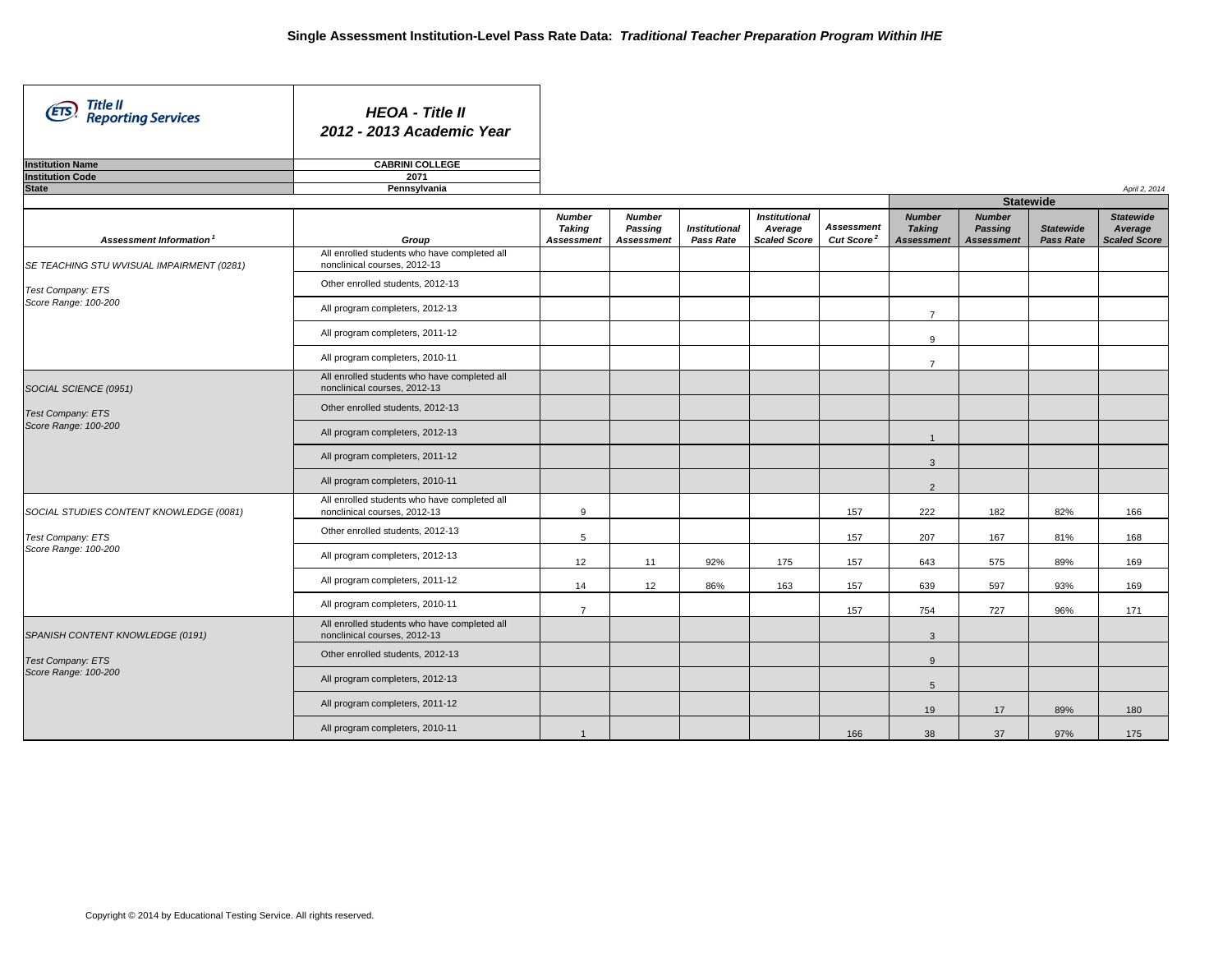| Title II<br>(ETS)<br><b>Reporting Services</b> | <b>HEOA - Title II</b><br>2012 - 2013 Academic Year                          |                                                     |                                               |                                   |                                                        |                                             |                                                     |                                               |                                      |                                                    |
|------------------------------------------------|------------------------------------------------------------------------------|-----------------------------------------------------|-----------------------------------------------|-----------------------------------|--------------------------------------------------------|---------------------------------------------|-----------------------------------------------------|-----------------------------------------------|--------------------------------------|----------------------------------------------------|
| <b>Institution Name</b>                        | <b>CABRINI COLLEGE</b>                                                       |                                                     |                                               |                                   |                                                        |                                             |                                                     |                                               |                                      |                                                    |
| <b>Institution Code</b>                        | 2071                                                                         |                                                     |                                               |                                   |                                                        |                                             |                                                     |                                               |                                      |                                                    |
| <b>State</b>                                   | Pennsylvania                                                                 |                                                     |                                               |                                   |                                                        |                                             |                                                     |                                               |                                      | April 2, 2014                                      |
|                                                |                                                                              |                                                     |                                               |                                   |                                                        |                                             |                                                     | <b>Statewide</b>                              |                                      |                                                    |
| Assessment Information <sup>1</sup>            | Group                                                                        | <b>Number</b><br><b>Taking</b><br><b>Assessment</b> | <b>Number</b><br>Passing<br><b>Assessment</b> | <b>Institutional</b><br>Pass Rate | <b>Institutional</b><br>Average<br><b>Scaled Score</b> | <b>Assessment</b><br>Cut Score <sup>2</sup> | <b>Number</b><br><b>Taking</b><br><b>Assessment</b> | <b>Number</b><br>Passing<br><b>Assessment</b> | <b>Statewide</b><br><b>Pass Rate</b> | <b>Statewide</b><br>Average<br><b>Scaled Score</b> |
| SE TEACHING STU WVISUAL IMPAIRMENT (0281)      | All enrolled students who have completed all<br>nonclinical courses, 2012-13 |                                                     |                                               |                                   |                                                        |                                             |                                                     |                                               |                                      |                                                    |
| Test Company: ETS                              | Other enrolled students, 2012-13                                             |                                                     |                                               |                                   |                                                        |                                             |                                                     |                                               |                                      |                                                    |
| Score Range: 100-200                           | All program completers, 2012-13                                              |                                                     |                                               |                                   |                                                        |                                             | $\overline{7}$                                      |                                               |                                      |                                                    |
|                                                | All program completers, 2011-12                                              |                                                     |                                               |                                   |                                                        |                                             | 9                                                   |                                               |                                      |                                                    |
|                                                | All program completers, 2010-11                                              |                                                     |                                               |                                   |                                                        |                                             | $\overline{7}$                                      |                                               |                                      |                                                    |
| SOCIAL SCIENCE (0951)                          | All enrolled students who have completed all<br>nonclinical courses, 2012-13 |                                                     |                                               |                                   |                                                        |                                             |                                                     |                                               |                                      |                                                    |
| <b>Test Company: ETS</b>                       | Other enrolled students, 2012-13                                             |                                                     |                                               |                                   |                                                        |                                             |                                                     |                                               |                                      |                                                    |
| Score Range: 100-200                           | All program completers, 2012-13                                              |                                                     |                                               |                                   |                                                        |                                             | $\mathbf{1}$                                        |                                               |                                      |                                                    |
|                                                | All program completers, 2011-12                                              |                                                     |                                               |                                   |                                                        |                                             | 3                                                   |                                               |                                      |                                                    |
|                                                | All program completers, 2010-11                                              |                                                     |                                               |                                   |                                                        |                                             | $\overline{2}$                                      |                                               |                                      |                                                    |
| SOCIAL STUDIES CONTENT KNOWLEDGE (0081)        | All enrolled students who have completed all<br>nonclinical courses, 2012-13 | 9                                                   |                                               |                                   |                                                        | 157                                         | 222                                                 | 182                                           | 82%                                  | 166                                                |
| Test Company: ETS                              | Other enrolled students, 2012-13                                             | 5                                                   |                                               |                                   |                                                        | 157                                         | 207                                                 | 167                                           | 81%                                  | 168                                                |
| Score Range: 100-200                           | All program completers, 2012-13                                              | 12                                                  | 11                                            | 92%                               | 175                                                    | 157                                         | 643                                                 | 575                                           | 89%                                  | 169                                                |
|                                                | All program completers, 2011-12                                              | 14                                                  | 12                                            | 86%                               | 163                                                    | 157                                         | 639                                                 | 597                                           | 93%                                  | 169                                                |
|                                                | All program completers, 2010-11                                              | $\overline{7}$                                      |                                               |                                   |                                                        | 157                                         | 754                                                 | 727                                           | 96%                                  | 171                                                |
| SPANISH CONTENT KNOWLEDGE (0191)               | All enrolled students who have completed all<br>nonclinical courses, 2012-13 |                                                     |                                               |                                   |                                                        |                                             | $\mathbf{3}$                                        |                                               |                                      |                                                    |
| <b>Test Company: ETS</b>                       | Other enrolled students, 2012-13                                             |                                                     |                                               |                                   |                                                        |                                             | 9                                                   |                                               |                                      |                                                    |
| Score Range: 100-200                           | All program completers, 2012-13                                              |                                                     |                                               |                                   |                                                        |                                             | $5\phantom{.0}$                                     |                                               |                                      |                                                    |
|                                                | All program completers, 2011-12                                              |                                                     |                                               |                                   |                                                        |                                             | 19                                                  | 17                                            | 89%                                  | 180                                                |
|                                                | All program completers, 2010-11                                              | $\overline{1}$                                      |                                               |                                   |                                                        | 166                                         | 38                                                  | 37                                            | 97%                                  | 175                                                |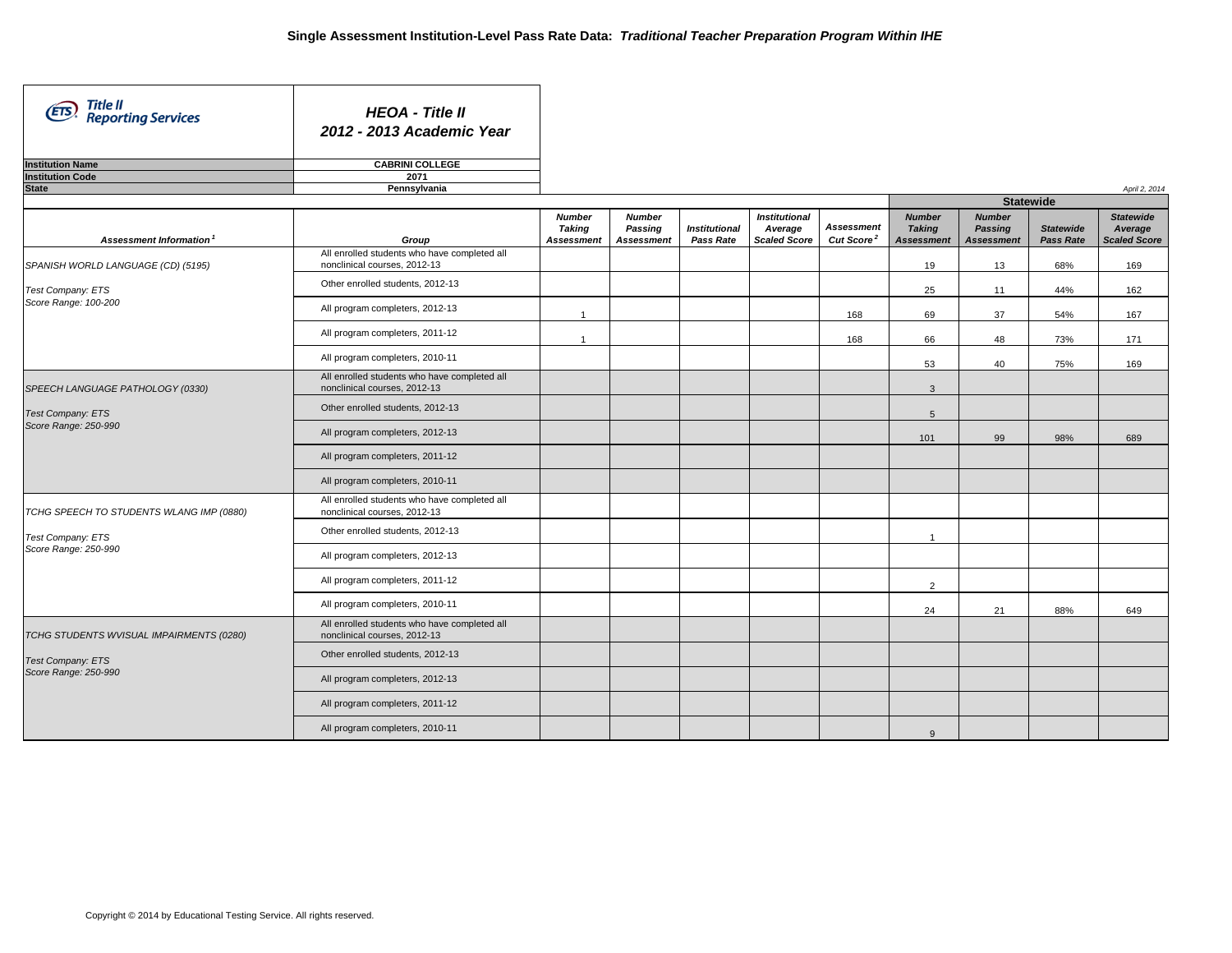| Title II<br>(ETS)<br><b>Reporting Services</b> | <b>HEOA - Title II</b><br>2012 - 2013 Academic Year                          |                                                     |                                               |                                   |                                                        |                                             |                                                     |                                               |                               |                                                    |
|------------------------------------------------|------------------------------------------------------------------------------|-----------------------------------------------------|-----------------------------------------------|-----------------------------------|--------------------------------------------------------|---------------------------------------------|-----------------------------------------------------|-----------------------------------------------|-------------------------------|----------------------------------------------------|
| <b>Institution Name</b>                        | <b>CABRINI COLLEGE</b>                                                       |                                                     |                                               |                                   |                                                        |                                             |                                                     |                                               |                               |                                                    |
| <b>Institution Code</b>                        | 2071                                                                         |                                                     |                                               |                                   |                                                        |                                             |                                                     |                                               |                               |                                                    |
| <b>State</b>                                   | Pennsylvania                                                                 |                                                     |                                               |                                   |                                                        |                                             |                                                     | <b>Statewide</b>                              |                               | April 2, 2014                                      |
|                                                |                                                                              |                                                     |                                               |                                   |                                                        |                                             |                                                     |                                               |                               |                                                    |
| Assessment Information <sup>1</sup>            | Group                                                                        | <b>Number</b><br><b>Taking</b><br><b>Assessment</b> | <b>Number</b><br>Passing<br><b>Assessment</b> | <b>Institutional</b><br>Pass Rate | <b>Institutional</b><br>Average<br><b>Scaled Score</b> | <b>Assessment</b><br>Cut Score <sup>2</sup> | <b>Number</b><br><b>Taking</b><br><b>Assessment</b> | <b>Number</b><br>Passing<br><b>Assessment</b> | <b>Statewide</b><br>Pass Rate | <b>Statewide</b><br>Average<br><b>Scaled Score</b> |
| SPANISH WORLD LANGUAGE (CD) (5195)             | All enrolled students who have completed all<br>nonclinical courses, 2012-13 |                                                     |                                               |                                   |                                                        |                                             | 19                                                  | 13                                            | 68%                           | 169                                                |
| Test Company: ETS                              | Other enrolled students, 2012-13                                             |                                                     |                                               |                                   |                                                        |                                             | 25                                                  | 11                                            | 44%                           | 162                                                |
| Score Range: 100-200                           | All program completers, 2012-13                                              | $\overline{1}$                                      |                                               |                                   |                                                        | 168                                         | 69                                                  | 37                                            | 54%                           | 167                                                |
|                                                | All program completers, 2011-12                                              | $\overline{1}$                                      |                                               |                                   |                                                        | 168                                         | 66                                                  | 48                                            | 73%                           | 171                                                |
|                                                | All program completers, 2010-11                                              |                                                     |                                               |                                   |                                                        |                                             | 53                                                  | 40                                            | 75%                           | 169                                                |
| SPEECH LANGUAGE PATHOLOGY (0330)               | All enrolled students who have completed all<br>nonclinical courses, 2012-13 |                                                     |                                               |                                   |                                                        |                                             | $\mathbf{3}$                                        |                                               |                               |                                                    |
| <b>Test Company: ETS</b>                       | Other enrolled students, 2012-13                                             |                                                     |                                               |                                   |                                                        |                                             | $5\overline{5}$                                     |                                               |                               |                                                    |
| Score Range: 250-990                           | All program completers, 2012-13                                              |                                                     |                                               |                                   |                                                        |                                             | 101                                                 | 99                                            | 98%                           | 689                                                |
|                                                | All program completers, 2011-12                                              |                                                     |                                               |                                   |                                                        |                                             |                                                     |                                               |                               |                                                    |
|                                                | All program completers, 2010-11                                              |                                                     |                                               |                                   |                                                        |                                             |                                                     |                                               |                               |                                                    |
| TCHG SPEECH TO STUDENTS WLANG IMP (0880)       | All enrolled students who have completed all<br>nonclinical courses, 2012-13 |                                                     |                                               |                                   |                                                        |                                             |                                                     |                                               |                               |                                                    |
| Test Company: ETS                              | Other enrolled students, 2012-13                                             |                                                     |                                               |                                   |                                                        |                                             | $\overline{1}$                                      |                                               |                               |                                                    |
| Score Range: 250-990                           | All program completers, 2012-13                                              |                                                     |                                               |                                   |                                                        |                                             |                                                     |                                               |                               |                                                    |
|                                                | All program completers, 2011-12                                              |                                                     |                                               |                                   |                                                        |                                             | 2                                                   |                                               |                               |                                                    |
|                                                | All program completers, 2010-11                                              |                                                     |                                               |                                   |                                                        |                                             | 24                                                  | 21                                            | 88%                           | 649                                                |
| TCHG STUDENTS WVISUAL IMPAIRMENTS (0280)       | All enrolled students who have completed all<br>nonclinical courses, 2012-13 |                                                     |                                               |                                   |                                                        |                                             |                                                     |                                               |                               |                                                    |
| <b>Test Company: ETS</b>                       | Other enrolled students, 2012-13                                             |                                                     |                                               |                                   |                                                        |                                             |                                                     |                                               |                               |                                                    |
| Score Range: 250-990                           | All program completers, 2012-13                                              |                                                     |                                               |                                   |                                                        |                                             |                                                     |                                               |                               |                                                    |
|                                                | All program completers, 2011-12                                              |                                                     |                                               |                                   |                                                        |                                             |                                                     |                                               |                               |                                                    |
|                                                | All program completers, 2010-11                                              |                                                     |                                               |                                   |                                                        |                                             | 9                                                   |                                               |                               |                                                    |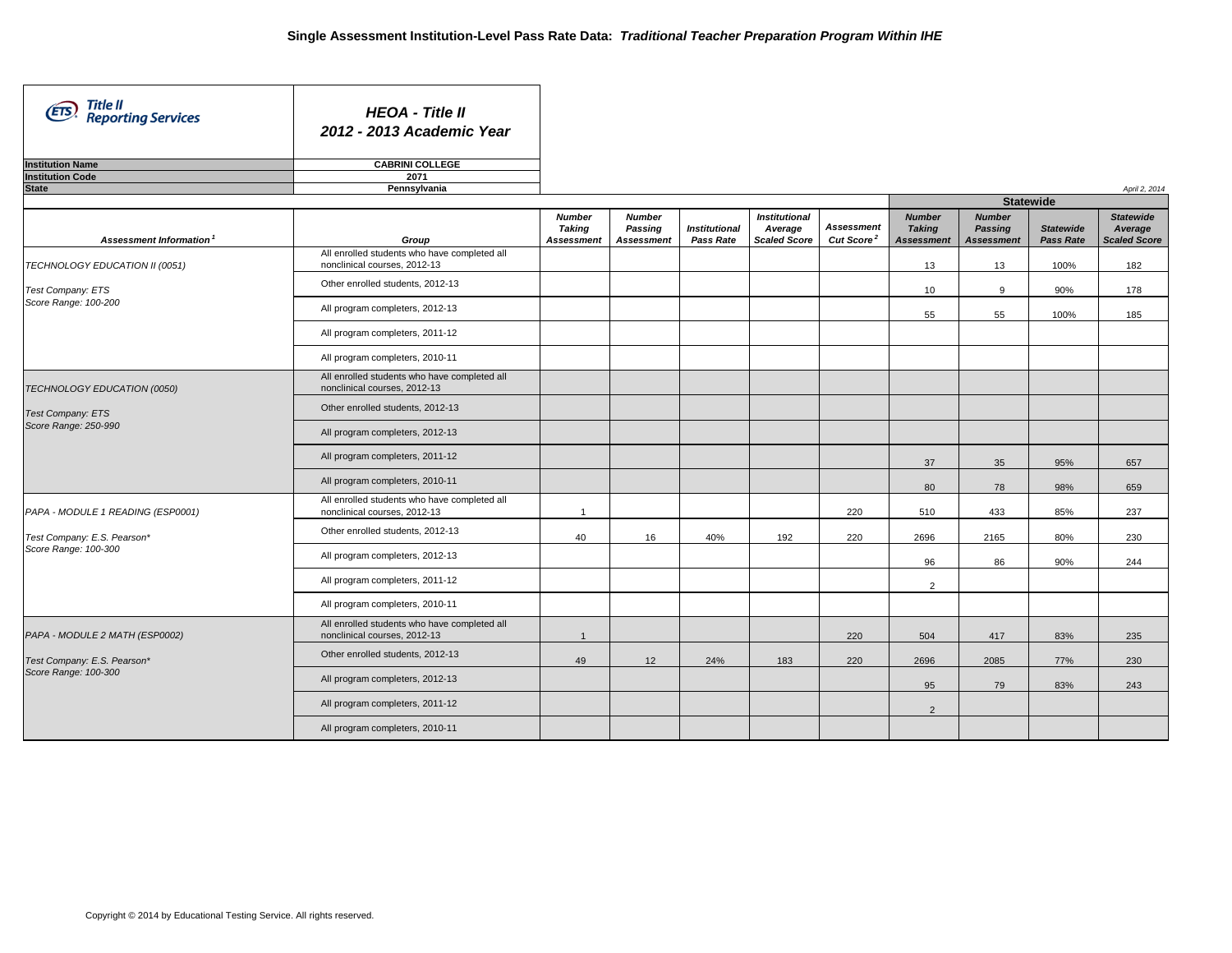| Title II<br>(ETS)<br><b>Reporting Services</b> | <b>HEOA - Title II</b><br>2012 - 2013 Academic Year                          |                                       |                                               |                                   |                                                        |                                             |                                                     |                                               |                                      |                                                    |
|------------------------------------------------|------------------------------------------------------------------------------|---------------------------------------|-----------------------------------------------|-----------------------------------|--------------------------------------------------------|---------------------------------------------|-----------------------------------------------------|-----------------------------------------------|--------------------------------------|----------------------------------------------------|
| <b>Institution Name</b>                        | <b>CABRINI COLLEGE</b><br>2071                                               |                                       |                                               |                                   |                                                        |                                             |                                                     |                                               |                                      |                                                    |
| <b>Institution Code</b><br><b>State</b>        | Pennsylvania                                                                 |                                       |                                               |                                   |                                                        |                                             |                                                     |                                               |                                      | April 2, 2014                                      |
|                                                |                                                                              |                                       |                                               |                                   |                                                        |                                             |                                                     | <b>Statewide</b>                              |                                      |                                                    |
| Assessment Information <sup>1</sup>            | Group                                                                        | <b>Number</b><br>Taking<br>Assessment | <b>Number</b><br>Passing<br><b>Assessment</b> | <b>Institutional</b><br>Pass Rate | <b>Institutional</b><br>Average<br><b>Scaled Score</b> | <b>Assessment</b><br>Cut Score <sup>2</sup> | <b>Number</b><br><b>Taking</b><br><b>Assessment</b> | <b>Number</b><br>Passing<br><b>Assessment</b> | <b>Statewide</b><br><b>Pass Rate</b> | <b>Statewide</b><br>Average<br><b>Scaled Score</b> |
| TECHNOLOGY EDUCATION II (0051)                 | All enrolled students who have completed all<br>nonclinical courses, 2012-13 |                                       |                                               |                                   |                                                        |                                             | 13                                                  | 13                                            | 100%                                 | 182                                                |
| Test Company: ETS                              | Other enrolled students, 2012-13                                             |                                       |                                               |                                   |                                                        |                                             | 10 <sup>1</sup>                                     | 9                                             | 90%                                  | 178                                                |
| Score Range: 100-200                           | All program completers, 2012-13                                              |                                       |                                               |                                   |                                                        |                                             | 55                                                  | 55                                            | 100%                                 | 185                                                |
|                                                | All program completers, 2011-12                                              |                                       |                                               |                                   |                                                        |                                             |                                                     |                                               |                                      |                                                    |
|                                                | All program completers, 2010-11                                              |                                       |                                               |                                   |                                                        |                                             |                                                     |                                               |                                      |                                                    |
| TECHNOLOGY EDUCATION (0050)                    | All enrolled students who have completed all<br>nonclinical courses, 2012-13 |                                       |                                               |                                   |                                                        |                                             |                                                     |                                               |                                      |                                                    |
| <b>Test Company: ETS</b>                       | Other enrolled students, 2012-13                                             |                                       |                                               |                                   |                                                        |                                             |                                                     |                                               |                                      |                                                    |
| Score Range: 250-990                           | All program completers, 2012-13                                              |                                       |                                               |                                   |                                                        |                                             |                                                     |                                               |                                      |                                                    |
|                                                | All program completers, 2011-12                                              |                                       |                                               |                                   |                                                        |                                             | 37                                                  | 35                                            | 95%                                  | 657                                                |
|                                                | All program completers, 2010-11                                              |                                       |                                               |                                   |                                                        |                                             | 80                                                  | 78                                            | 98%                                  | 659                                                |
| PAPA - MODULE 1 READING (ESP0001)              | All enrolled students who have completed all<br>nonclinical courses, 2012-13 | $\mathbf{1}$                          |                                               |                                   |                                                        | 220                                         | 510                                                 | 433                                           | 85%                                  | 237                                                |
| Test Company: E.S. Pearson*                    | Other enrolled students, 2012-13                                             | 40                                    | 16                                            | 40%                               | 192                                                    | 220                                         | 2696                                                | 2165                                          | 80%                                  | 230                                                |
| Score Range: 100-300                           | All program completers, 2012-13                                              |                                       |                                               |                                   |                                                        |                                             | 96                                                  | 86                                            | 90%                                  | 244                                                |
|                                                | All program completers, 2011-12                                              |                                       |                                               |                                   |                                                        |                                             | $\overline{2}$                                      |                                               |                                      |                                                    |
|                                                | All program completers, 2010-11                                              |                                       |                                               |                                   |                                                        |                                             |                                                     |                                               |                                      |                                                    |
| PAPA - MODULE 2 MATH (ESP0002)                 | All enrolled students who have completed all<br>nonclinical courses, 2012-13 | $\overline{1}$                        |                                               |                                   |                                                        | 220                                         | 504                                                 | 417                                           | 83%                                  | 235                                                |
| Test Company: E.S. Pearson*                    | Other enrolled students, 2012-13                                             | 49                                    | 12                                            | 24%                               | 183                                                    | 220                                         | 2696                                                | 2085                                          | 77%                                  | 230                                                |
| Score Range: 100-300                           | All program completers, 2012-13                                              |                                       |                                               |                                   |                                                        |                                             | 95                                                  | 79                                            | 83%                                  | 243                                                |
|                                                | All program completers, 2011-12                                              |                                       |                                               |                                   |                                                        |                                             | $\overline{2}$                                      |                                               |                                      |                                                    |
|                                                | All program completers, 2010-11                                              |                                       |                                               |                                   |                                                        |                                             |                                                     |                                               |                                      |                                                    |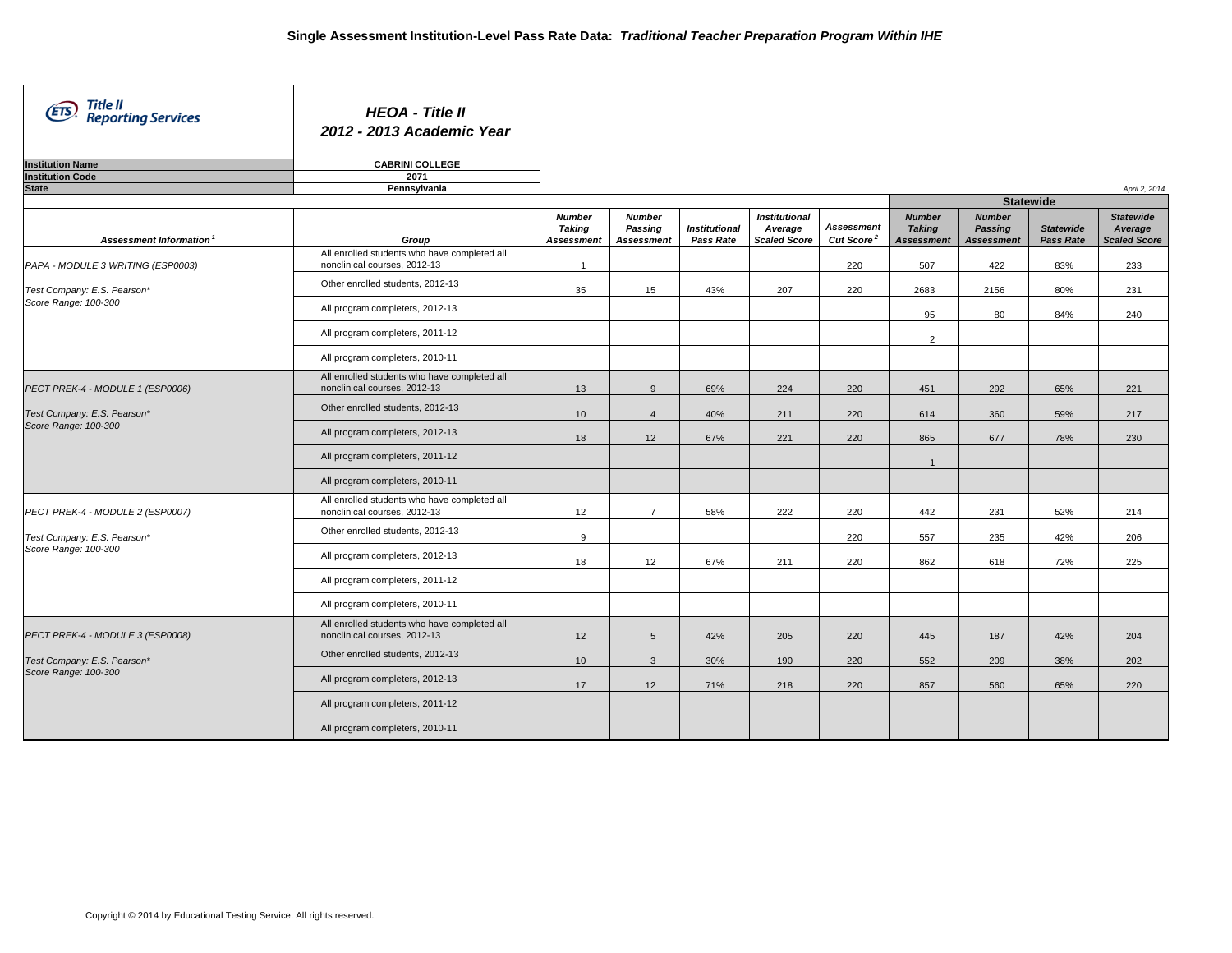| Title II<br>Reporting Services<br>(ETS)             | <b>HEOA - Title II</b><br>2012 - 2013 Academic Year                             |                                              |                                               |                                   |                                                        |                                             |                                                     |                                                      |                                      |                                                    |
|-----------------------------------------------------|---------------------------------------------------------------------------------|----------------------------------------------|-----------------------------------------------|-----------------------------------|--------------------------------------------------------|---------------------------------------------|-----------------------------------------------------|------------------------------------------------------|--------------------------------------|----------------------------------------------------|
| <b>Institution Name</b>                             | <b>CABRINI COLLEGE</b>                                                          |                                              |                                               |                                   |                                                        |                                             |                                                     |                                                      |                                      |                                                    |
| <b>Institution Code</b>                             | 2071                                                                            |                                              |                                               |                                   |                                                        |                                             |                                                     |                                                      |                                      |                                                    |
| <b>State</b>                                        | Pennsylvania                                                                    |                                              |                                               |                                   |                                                        |                                             |                                                     |                                                      |                                      | April 2, 2014                                      |
|                                                     |                                                                                 |                                              |                                               |                                   |                                                        |                                             |                                                     | <b>Statewide</b>                                     |                                      |                                                    |
| Assessment Information <sup>1</sup>                 | Group                                                                           | <b>Number</b><br>Taking<br><b>Assessment</b> | <b>Number</b><br>Passing<br><b>Assessment</b> | <b>Institutional</b><br>Pass Rate | <b>Institutional</b><br>Average<br><b>Scaled Score</b> | <b>Assessment</b><br>Cut Score <sup>2</sup> | <b>Number</b><br><b>Taking</b><br><b>Assessment</b> | <b>Number</b><br><b>Passing</b><br><b>Assessment</b> | <b>Statewide</b><br><b>Pass Rate</b> | <b>Statewide</b><br>Average<br><b>Scaled Score</b> |
| PAPA - MODULE 3 WRITING (ESP0003)                   | All enrolled students who have completed all<br>nonclinical courses, 2012-13    | $\overline{1}$                               |                                               |                                   |                                                        | 220                                         | 507                                                 | 422                                                  | 83%                                  | 233                                                |
| Test Company: E.S. Pearson*                         | Other enrolled students, 2012-13                                                | 35                                           | 15                                            | 43%                               | 207                                                    | 220                                         | 2683                                                | 2156                                                 | 80%                                  | 231                                                |
| Score Range: 100-300                                | All program completers, 2012-13                                                 |                                              |                                               |                                   |                                                        |                                             | 95                                                  | 80                                                   | 84%                                  | 240                                                |
|                                                     | All program completers, 2011-12                                                 |                                              |                                               |                                   |                                                        |                                             | $\overline{2}$                                      |                                                      |                                      |                                                    |
|                                                     | All program completers, 2010-11<br>All enrolled students who have completed all |                                              |                                               |                                   |                                                        |                                             |                                                     |                                                      |                                      |                                                    |
| PECT PREK-4 - MODULE 1 (ESP0006)                    | nonclinical courses, 2012-13                                                    | 13                                           | 9                                             | 69%                               | 224                                                    | 220                                         | 451                                                 | 292                                                  | 65%                                  | 221                                                |
| Test Company: E.S. Pearson*<br>Score Range: 100-300 | Other enrolled students, 2012-13                                                | 10                                           | $\overline{4}$                                | 40%                               | 211                                                    | 220                                         | 614                                                 | 360                                                  | 59%                                  | 217                                                |
|                                                     | All program completers, 2012-13                                                 | 18                                           | 12                                            | 67%                               | 221                                                    | 220                                         | 865                                                 | 677                                                  | 78%                                  | 230                                                |
|                                                     | All program completers, 2011-12                                                 |                                              |                                               |                                   |                                                        |                                             | $\mathbf{1}$                                        |                                                      |                                      |                                                    |
|                                                     | All program completers, 2010-11                                                 |                                              |                                               |                                   |                                                        |                                             |                                                     |                                                      |                                      |                                                    |
| PECT PREK-4 - MODULE 2 (ESP0007)                    | All enrolled students who have completed all<br>nonclinical courses, 2012-13    | 12                                           | $\overline{7}$                                | 58%                               | 222                                                    | 220                                         | 442                                                 | 231                                                  | 52%                                  | 214                                                |
| Test Company: E.S. Pearson*                         | Other enrolled students, 2012-13                                                | 9                                            |                                               |                                   |                                                        | 220                                         | 557                                                 | 235                                                  | 42%                                  | 206                                                |
| Score Range: 100-300                                | All program completers, 2012-13                                                 | 18                                           | 12                                            | 67%                               | 211                                                    | 220                                         | 862                                                 | 618                                                  | 72%                                  | 225                                                |
|                                                     | All program completers, 2011-12                                                 |                                              |                                               |                                   |                                                        |                                             |                                                     |                                                      |                                      |                                                    |
|                                                     | All program completers, 2010-11                                                 |                                              |                                               |                                   |                                                        |                                             |                                                     |                                                      |                                      |                                                    |
| PECT PREK-4 - MODULE 3 (ESP0008)                    | All enrolled students who have completed all<br>nonclinical courses, 2012-13    | 12                                           | $5\phantom{.0}$                               | 42%                               | 205                                                    | 220                                         | 445                                                 | 187                                                  | 42%                                  | 204                                                |
| Test Company: E.S. Pearson*                         | Other enrolled students, 2012-13                                                | 10                                           | $\mathbf{3}$                                  | 30%                               | 190                                                    | 220                                         | 552                                                 | 209                                                  | 38%                                  | 202                                                |
| Score Range: 100-300                                | All program completers, 2012-13                                                 | 17                                           | 12                                            | 71%                               | 218                                                    | 220                                         | 857                                                 | 560                                                  | 65%                                  | 220                                                |
|                                                     | All program completers, 2011-12                                                 |                                              |                                               |                                   |                                                        |                                             |                                                     |                                                      |                                      |                                                    |
|                                                     | All program completers, 2010-11                                                 |                                              |                                               |                                   |                                                        |                                             |                                                     |                                                      |                                      |                                                    |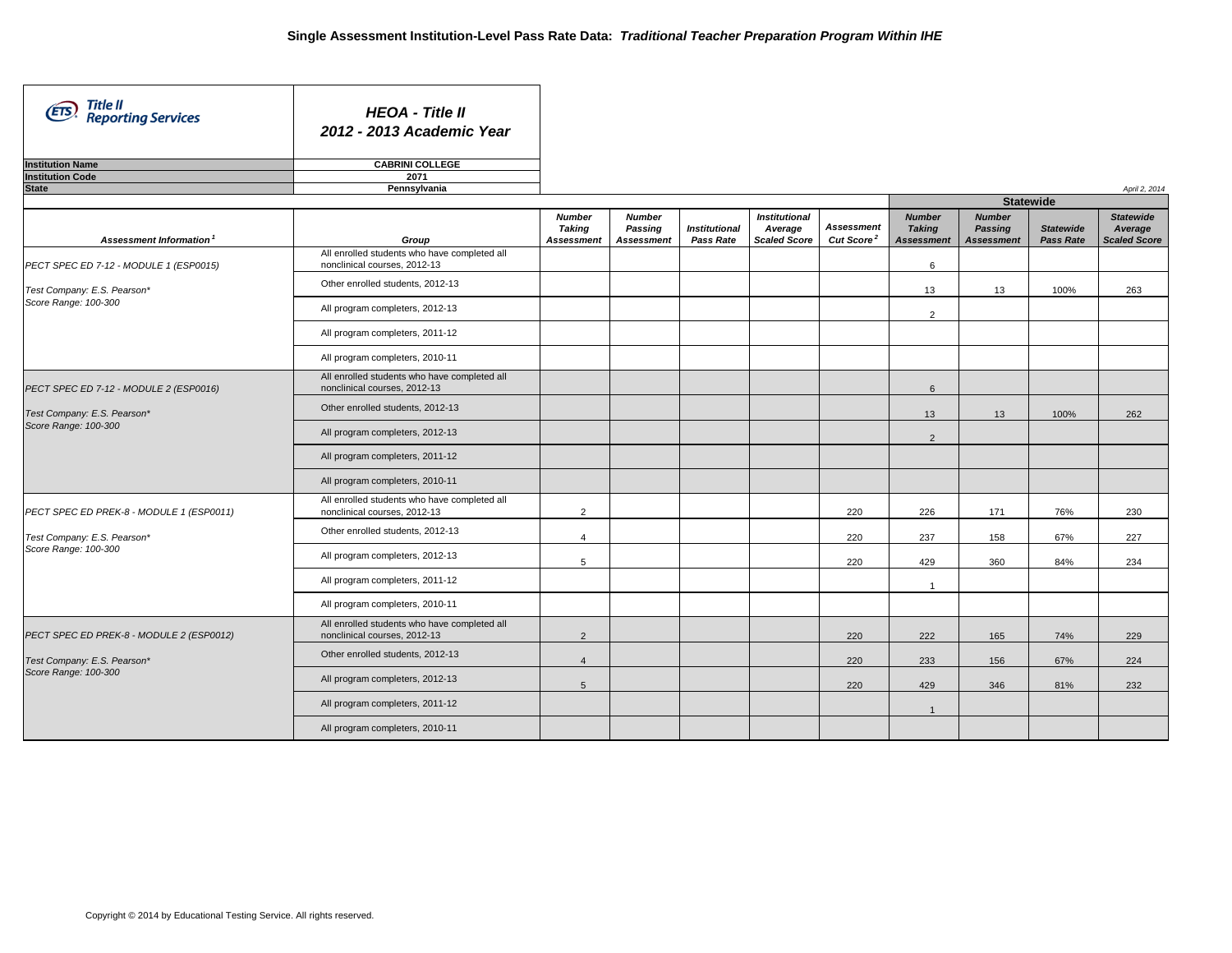| Title II<br>(ETS)<br><b>Reporting Services</b> | <b>HEOA - Title II</b><br>2012 - 2013 Academic Year                          |                                              |                                               |                                   |                                                        |                                             |                                                     |                                               |                                      |                                                    |
|------------------------------------------------|------------------------------------------------------------------------------|----------------------------------------------|-----------------------------------------------|-----------------------------------|--------------------------------------------------------|---------------------------------------------|-----------------------------------------------------|-----------------------------------------------|--------------------------------------|----------------------------------------------------|
| <b>Institution Name</b>                        | <b>CABRINI COLLEGE</b>                                                       |                                              |                                               |                                   |                                                        |                                             |                                                     |                                               |                                      |                                                    |
| <b>Institution Code</b>                        | 2071                                                                         |                                              |                                               |                                   |                                                        |                                             |                                                     |                                               |                                      |                                                    |
| <b>State</b>                                   | Pennsylvania                                                                 |                                              |                                               |                                   |                                                        |                                             |                                                     |                                               |                                      | April 2, 2014                                      |
|                                                |                                                                              |                                              |                                               |                                   |                                                        |                                             |                                                     | <b>Statewide</b>                              |                                      |                                                    |
| Assessment Information <sup>1</sup>            | Group                                                                        | <b>Number</b><br>Taking<br><b>Assessment</b> | <b>Number</b><br>Passing<br><b>Assessment</b> | <b>Institutional</b><br>Pass Rate | <b>Institutional</b><br>Average<br><b>Scaled Score</b> | <b>Assessment</b><br>Cut Score <sup>2</sup> | <b>Number</b><br><b>Taking</b><br><b>Assessment</b> | <b>Number</b><br>Passing<br><b>Assessment</b> | <b>Statewide</b><br><b>Pass Rate</b> | <b>Statewide</b><br>Average<br><b>Scaled Score</b> |
| PECT SPEC ED 7-12 - MODULE 1 (ESP0015)         | All enrolled students who have completed all<br>nonclinical courses, 2012-13 |                                              |                                               |                                   |                                                        |                                             | 6                                                   |                                               |                                      |                                                    |
| Test Company: E.S. Pearson*                    | Other enrolled students, 2012-13                                             |                                              |                                               |                                   |                                                        |                                             | 13                                                  | 13                                            | 100%                                 | 263                                                |
| Score Range: 100-300                           | All program completers, 2012-13                                              |                                              |                                               |                                   |                                                        |                                             | 2                                                   |                                               |                                      |                                                    |
|                                                | All program completers, 2011-12                                              |                                              |                                               |                                   |                                                        |                                             |                                                     |                                               |                                      |                                                    |
|                                                | All program completers, 2010-11                                              |                                              |                                               |                                   |                                                        |                                             |                                                     |                                               |                                      |                                                    |
| PECT SPEC ED 7-12 - MODULE 2 (ESP0016)         | All enrolled students who have completed all<br>nonclinical courses, 2012-13 |                                              |                                               |                                   |                                                        |                                             | $6\phantom{1}$                                      |                                               |                                      |                                                    |
| Test Company: E.S. Pearson*                    | Other enrolled students, 2012-13                                             |                                              |                                               |                                   |                                                        |                                             | 13                                                  | 13                                            | 100%                                 | 262                                                |
| Score Range: 100-300                           | All program completers, 2012-13                                              |                                              |                                               |                                   |                                                        |                                             | $\overline{2}$                                      |                                               |                                      |                                                    |
|                                                | All program completers, 2011-12                                              |                                              |                                               |                                   |                                                        |                                             |                                                     |                                               |                                      |                                                    |
|                                                | All program completers, 2010-11                                              |                                              |                                               |                                   |                                                        |                                             |                                                     |                                               |                                      |                                                    |
| PECT SPEC ED PREK-8 - MODULE 1 (ESP0011)       | All enrolled students who have completed all<br>nonclinical courses, 2012-13 | 2                                            |                                               |                                   |                                                        | 220                                         | 226                                                 | 171                                           | 76%                                  | 230                                                |
| Test Company: E.S. Pearson*                    | Other enrolled students, 2012-13                                             | $\overline{4}$                               |                                               |                                   |                                                        | 220                                         | 237                                                 | 158                                           | 67%                                  | 227                                                |
| Score Range: 100-300                           | All program completers, 2012-13                                              | 5                                            |                                               |                                   |                                                        | 220                                         | 429                                                 | 360                                           | 84%                                  | 234                                                |
|                                                | All program completers, 2011-12                                              |                                              |                                               |                                   |                                                        |                                             | $\mathbf{1}$                                        |                                               |                                      |                                                    |
|                                                | All program completers, 2010-11                                              |                                              |                                               |                                   |                                                        |                                             |                                                     |                                               |                                      |                                                    |
| PECT SPEC ED PREK-8 - MODULE 2 (ESP0012)       | All enrolled students who have completed all<br>nonclinical courses, 2012-13 | 2                                            |                                               |                                   |                                                        | 220                                         | 222                                                 | 165                                           | 74%                                  | 229                                                |
| Test Company: E.S. Pearson*                    | Other enrolled students, 2012-13                                             | $\overline{4}$                               |                                               |                                   |                                                        | 220                                         | 233                                                 | 156                                           | 67%                                  | 224                                                |
| Score Range: 100-300                           | All program completers, 2012-13                                              | 5                                            |                                               |                                   |                                                        | 220                                         | 429                                                 | 346                                           | 81%                                  | 232                                                |
|                                                | All program completers, 2011-12                                              |                                              |                                               |                                   |                                                        |                                             | $\mathbf{1}$                                        |                                               |                                      |                                                    |
|                                                | All program completers, 2010-11                                              |                                              |                                               |                                   |                                                        |                                             |                                                     |                                               |                                      |                                                    |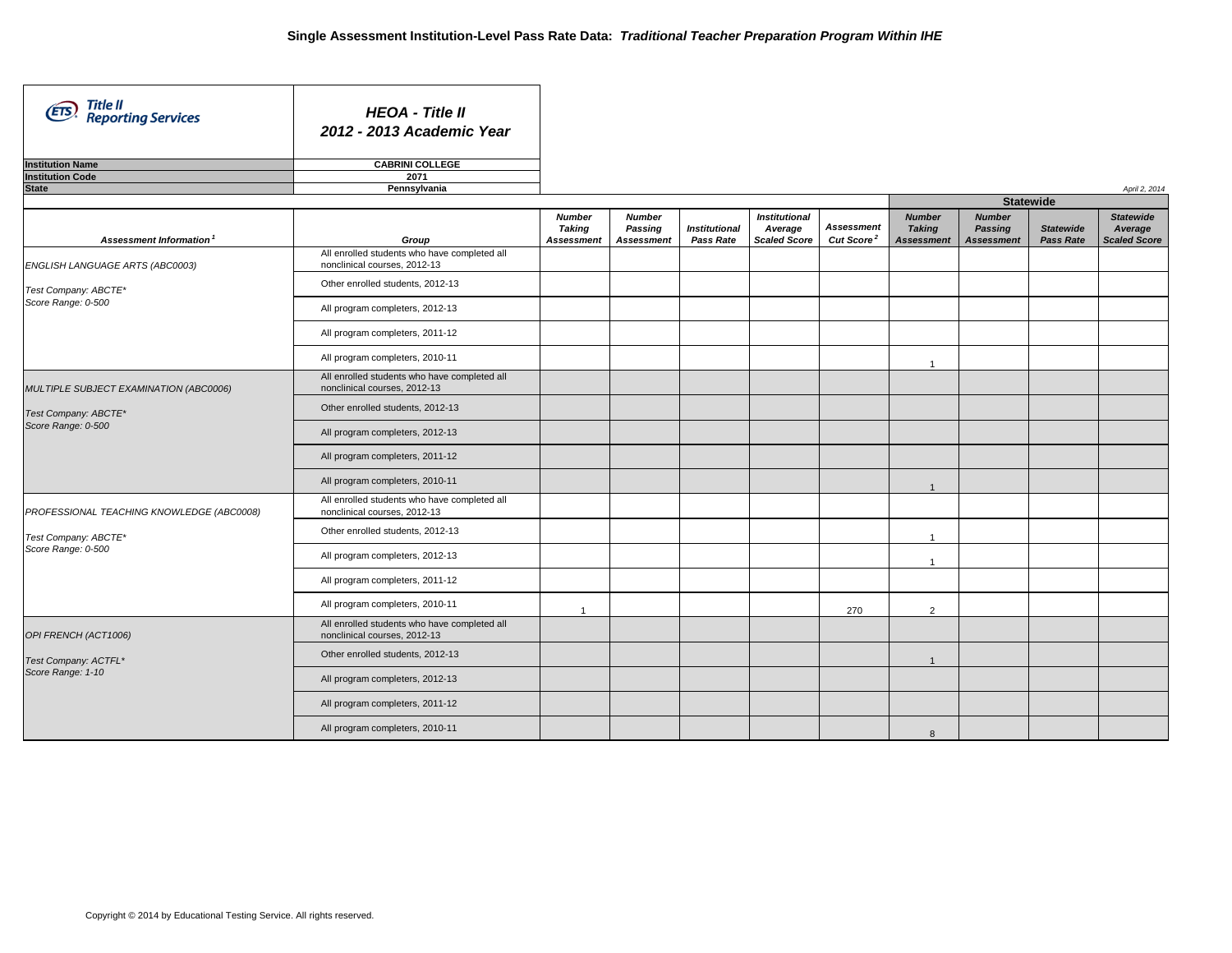| Title II<br><b>ETS</b><br><b>Reporting Services</b> | <b>HEOA - Title II</b><br>2012 - 2013 Academic Year                          |                                              |                                               |                                   |                                                        |                                      |                                                     |                                                      |                                      |                                                    |
|-----------------------------------------------------|------------------------------------------------------------------------------|----------------------------------------------|-----------------------------------------------|-----------------------------------|--------------------------------------------------------|--------------------------------------|-----------------------------------------------------|------------------------------------------------------|--------------------------------------|----------------------------------------------------|
| <b>Institution Name</b>                             | <b>CABRINI COLLEGE</b>                                                       |                                              |                                               |                                   |                                                        |                                      |                                                     |                                                      |                                      |                                                    |
| <b>Institution Code</b>                             | 2071                                                                         |                                              |                                               |                                   |                                                        |                                      |                                                     |                                                      |                                      |                                                    |
| <b>State</b>                                        | Pennsylvania                                                                 |                                              |                                               |                                   |                                                        |                                      |                                                     |                                                      |                                      | April 2, 2014                                      |
|                                                     |                                                                              |                                              |                                               |                                   |                                                        |                                      |                                                     |                                                      | <b>Statewide</b>                     |                                                    |
| Assessment Information <sup>1</sup>                 | Group                                                                        | <b>Number</b><br>Taking<br><b>Assessment</b> | <b>Number</b><br>Passing<br><b>Assessment</b> | <b>Institutional</b><br>Pass Rate | <b>Institutional</b><br>Average<br><b>Scaled Score</b> | Assessment<br>Cut Score <sup>2</sup> | <b>Number</b><br><b>Taking</b><br><b>Assessment</b> | <b>Number</b><br><b>Passing</b><br><b>Assessment</b> | <b>Statewide</b><br><b>Pass Rate</b> | <b>Statewide</b><br>Average<br><b>Scaled Score</b> |
| ENGLISH LANGUAGE ARTS (ABC0003)                     | All enrolled students who have completed all<br>nonclinical courses, 2012-13 |                                              |                                               |                                   |                                                        |                                      |                                                     |                                                      |                                      |                                                    |
| Test Company: ABCTE*                                | Other enrolled students, 2012-13                                             |                                              |                                               |                                   |                                                        |                                      |                                                     |                                                      |                                      |                                                    |
| Score Range: 0-500                                  | All program completers, 2012-13                                              |                                              |                                               |                                   |                                                        |                                      |                                                     |                                                      |                                      |                                                    |
|                                                     | All program completers, 2011-12                                              |                                              |                                               |                                   |                                                        |                                      |                                                     |                                                      |                                      |                                                    |
|                                                     | All program completers, 2010-11                                              |                                              |                                               |                                   |                                                        |                                      | $\overline{1}$                                      |                                                      |                                      |                                                    |
| MULTIPLE SUBJECT EXAMINATION (ABC0006)              | All enrolled students who have completed all<br>nonclinical courses, 2012-13 |                                              |                                               |                                   |                                                        |                                      |                                                     |                                                      |                                      |                                                    |
| Test Company: ABCTE*                                | Other enrolled students, 2012-13                                             |                                              |                                               |                                   |                                                        |                                      |                                                     |                                                      |                                      |                                                    |
| Score Range: 0-500                                  | All program completers, 2012-13                                              |                                              |                                               |                                   |                                                        |                                      |                                                     |                                                      |                                      |                                                    |
|                                                     | All program completers, 2011-12                                              |                                              |                                               |                                   |                                                        |                                      |                                                     |                                                      |                                      |                                                    |
|                                                     | All program completers, 2010-11                                              |                                              |                                               |                                   |                                                        |                                      | $\overline{1}$                                      |                                                      |                                      |                                                    |
| PROFESSIONAL TEACHING KNOWLEDGE (ABC0008)           | All enrolled students who have completed all<br>nonclinical courses, 2012-13 |                                              |                                               |                                   |                                                        |                                      |                                                     |                                                      |                                      |                                                    |
| Test Company: ABCTE*                                | Other enrolled students, 2012-13                                             |                                              |                                               |                                   |                                                        |                                      | $\overline{1}$                                      |                                                      |                                      |                                                    |
| Score Range: 0-500                                  | All program completers, 2012-13                                              |                                              |                                               |                                   |                                                        |                                      | $\overline{1}$                                      |                                                      |                                      |                                                    |
|                                                     | All program completers, 2011-12                                              |                                              |                                               |                                   |                                                        |                                      |                                                     |                                                      |                                      |                                                    |
|                                                     | All program completers, 2010-11                                              | $\overline{1}$                               |                                               |                                   |                                                        | 270                                  | 2                                                   |                                                      |                                      |                                                    |
| OPI FRENCH (ACT1006)                                | All enrolled students who have completed all<br>nonclinical courses, 2012-13 |                                              |                                               |                                   |                                                        |                                      |                                                     |                                                      |                                      |                                                    |
| Test Company: ACTFL*                                | Other enrolled students, 2012-13                                             |                                              |                                               |                                   |                                                        |                                      | $\overline{1}$                                      |                                                      |                                      |                                                    |
| Score Range: 1-10                                   | All program completers, 2012-13                                              |                                              |                                               |                                   |                                                        |                                      |                                                     |                                                      |                                      |                                                    |
|                                                     | All program completers, 2011-12                                              |                                              |                                               |                                   |                                                        |                                      |                                                     |                                                      |                                      |                                                    |
|                                                     | All program completers, 2010-11                                              |                                              |                                               |                                   |                                                        |                                      | 8                                                   |                                                      |                                      |                                                    |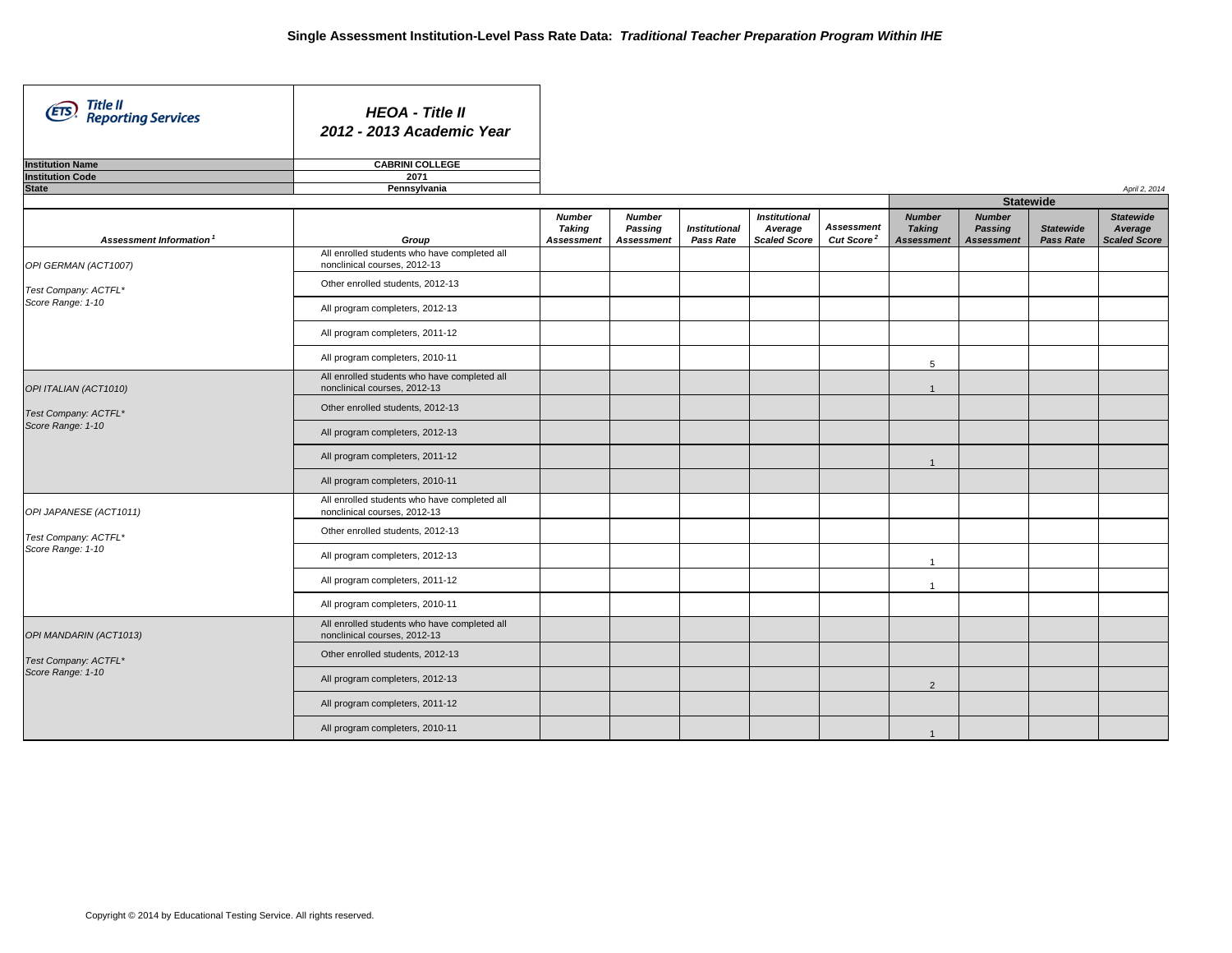| Title II<br>Reporting Services<br>(ETS) | <b>HEOA - Title II</b><br>2012 - 2013 Academic Year                          |                                |                          |                      |                                 |                        |                                |                                 |                  |                             |
|-----------------------------------------|------------------------------------------------------------------------------|--------------------------------|--------------------------|----------------------|---------------------------------|------------------------|--------------------------------|---------------------------------|------------------|-----------------------------|
| <b>Institution Name</b>                 | <b>CABRINI COLLEGE</b>                                                       |                                |                          |                      |                                 |                        |                                |                                 |                  |                             |
| <b>Institution Code</b><br><b>State</b> | 2071                                                                         |                                |                          |                      |                                 |                        |                                |                                 |                  |                             |
|                                         | Pennsylvania                                                                 |                                |                          |                      |                                 |                        |                                | <b>Statewide</b>                |                  | April 2, 2014               |
|                                         |                                                                              | <b>Number</b><br><b>Taking</b> | <b>Number</b><br>Passing | <b>Institutional</b> | <b>Institutional</b><br>Average | <b>Assessment</b>      | <b>Number</b><br><b>Taking</b> | <b>Number</b><br><b>Passing</b> | <b>Statewide</b> | <b>Statewide</b><br>Average |
| Assessment Information                  | Group                                                                        | <b>Assessment</b>              | <b>Assessment</b>        | Pass Rate            | <b>Scaled Score</b>             | Cut Score <sup>2</sup> | <b>Assessment</b>              | <b>Assessment</b>               | Pass Rate        | <b>Scaled Score</b>         |
| OPI GERMAN (ACT1007)                    | All enrolled students who have completed all<br>nonclinical courses, 2012-13 |                                |                          |                      |                                 |                        |                                |                                 |                  |                             |
| Test Company: ACTFL*                    | Other enrolled students, 2012-13                                             |                                |                          |                      |                                 |                        |                                |                                 |                  |                             |
| Score Range: 1-10                       | All program completers, 2012-13                                              |                                |                          |                      |                                 |                        |                                |                                 |                  |                             |
|                                         | All program completers, 2011-12                                              |                                |                          |                      |                                 |                        |                                |                                 |                  |                             |
|                                         | All program completers, 2010-11                                              |                                |                          |                      |                                 |                        | 5                              |                                 |                  |                             |
| OPI ITALIAN (ACT1010)                   | All enrolled students who have completed all<br>nonclinical courses, 2012-13 |                                |                          |                      |                                 |                        | $\overline{1}$                 |                                 |                  |                             |
| Test Company: ACTFL*                    | Other enrolled students, 2012-13                                             |                                |                          |                      |                                 |                        |                                |                                 |                  |                             |
| Score Range: 1-10                       | All program completers, 2012-13                                              |                                |                          |                      |                                 |                        |                                |                                 |                  |                             |
|                                         | All program completers, 2011-12                                              |                                |                          |                      |                                 |                        | $\overline{1}$                 |                                 |                  |                             |
|                                         | All program completers, 2010-11                                              |                                |                          |                      |                                 |                        |                                |                                 |                  |                             |
| OPI JAPANESE (ACT1011)                  | All enrolled students who have completed all<br>nonclinical courses, 2012-13 |                                |                          |                      |                                 |                        |                                |                                 |                  |                             |
| Test Company: ACTFL*                    | Other enrolled students, 2012-13                                             |                                |                          |                      |                                 |                        |                                |                                 |                  |                             |
| Score Range: 1-10                       | All program completers, 2012-13                                              |                                |                          |                      |                                 |                        | $\overline{1}$                 |                                 |                  |                             |
|                                         | All program completers, 2011-12                                              |                                |                          |                      |                                 |                        | $\overline{1}$                 |                                 |                  |                             |
|                                         | All program completers, 2010-11                                              |                                |                          |                      |                                 |                        |                                |                                 |                  |                             |
| OPI MANDARIN (ACT1013)                  | All enrolled students who have completed all<br>nonclinical courses, 2012-13 |                                |                          |                      |                                 |                        |                                |                                 |                  |                             |
| Test Company: ACTFL*                    | Other enrolled students, 2012-13                                             |                                |                          |                      |                                 |                        |                                |                                 |                  |                             |
| Score Range: 1-10                       | All program completers, 2012-13                                              |                                |                          |                      |                                 |                        | $\overline{2}$                 |                                 |                  |                             |
|                                         | All program completers, 2011-12                                              |                                |                          |                      |                                 |                        |                                |                                 |                  |                             |
|                                         | All program completers, 2010-11                                              |                                |                          |                      |                                 |                        | $\overline{1}$                 |                                 |                  |                             |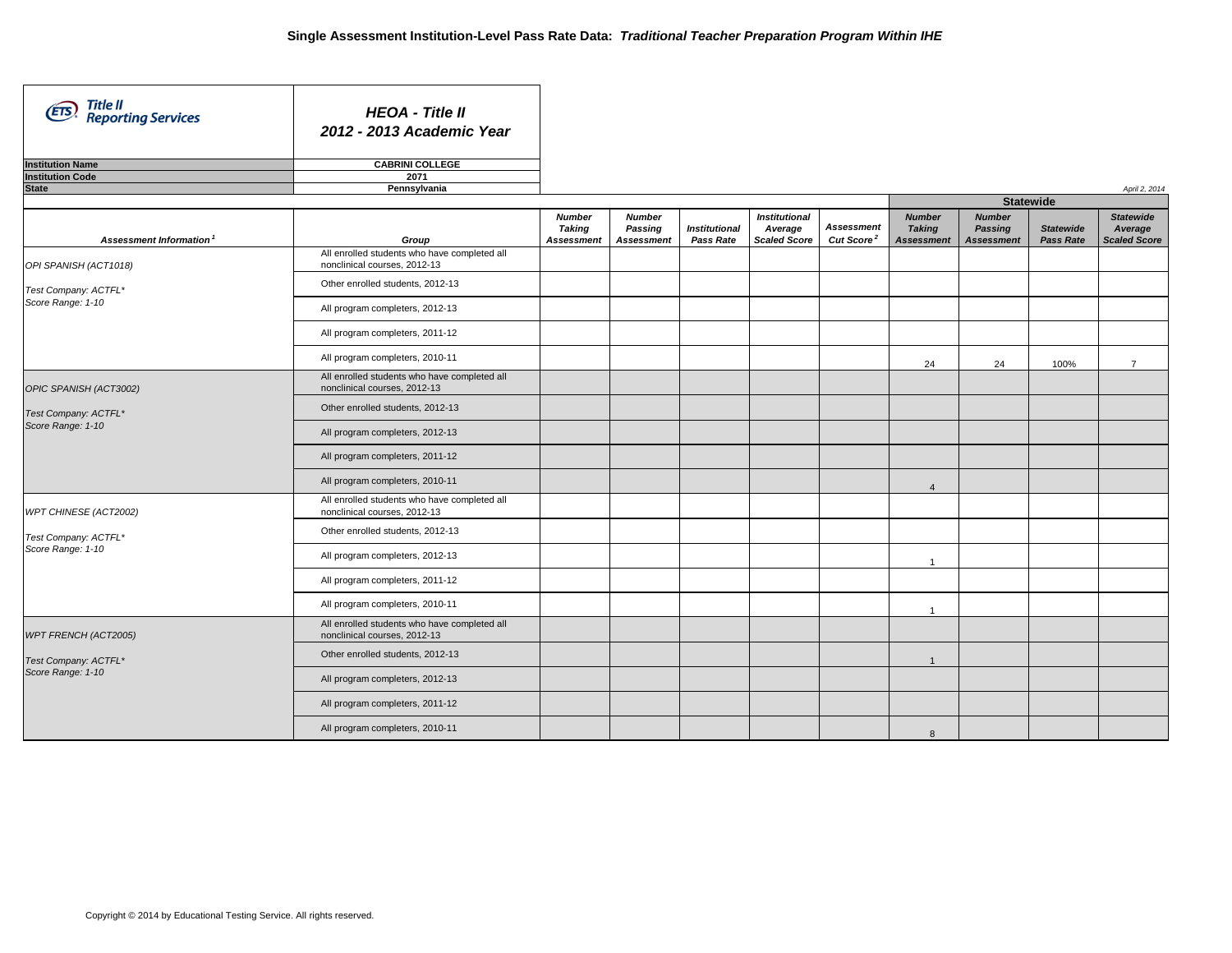| Title II<br>Reporting Services<br>(ETS)            | <b>HEOA - Title II</b><br>2012 - 2013 Academic Year                          |                                                     |                                               |                                   |                                                        |                                             |                                                     |                                               |                                      |                                                    |
|----------------------------------------------------|------------------------------------------------------------------------------|-----------------------------------------------------|-----------------------------------------------|-----------------------------------|--------------------------------------------------------|---------------------------------------------|-----------------------------------------------------|-----------------------------------------------|--------------------------------------|----------------------------------------------------|
| <b>Institution Name</b><br><b>Institution Code</b> | <b>CABRINI COLLEGE</b><br>2071                                               |                                                     |                                               |                                   |                                                        |                                             |                                                     |                                               |                                      |                                                    |
| <b>State</b>                                       | Pennsylvania                                                                 |                                                     |                                               |                                   |                                                        |                                             |                                                     |                                               |                                      | April 2, 2014                                      |
|                                                    |                                                                              |                                                     |                                               |                                   |                                                        |                                             |                                                     | <b>Statewide</b>                              |                                      |                                                    |
| Assessment Information                             | Group                                                                        | <b>Number</b><br><b>Taking</b><br><b>Assessment</b> | <b>Number</b><br>Passing<br><b>Assessment</b> | <b>Institutional</b><br>Pass Rate | <b>Institutional</b><br>Average<br><b>Scaled Score</b> | <b>Assessment</b><br>Cut Score <sup>2</sup> | <b>Number</b><br><b>Taking</b><br><b>Assessment</b> | <b>Number</b><br>Passing<br><b>Assessment</b> | <b>Statewide</b><br><b>Pass Rate</b> | <b>Statewide</b><br>Average<br><b>Scaled Score</b> |
| OPI SPANISH (ACT1018)                              | All enrolled students who have completed all<br>nonclinical courses, 2012-13 |                                                     |                                               |                                   |                                                        |                                             |                                                     |                                               |                                      |                                                    |
| Test Company: ACTFL*                               | Other enrolled students, 2012-13                                             |                                                     |                                               |                                   |                                                        |                                             |                                                     |                                               |                                      |                                                    |
| Score Range: 1-10                                  | All program completers, 2012-13                                              |                                                     |                                               |                                   |                                                        |                                             |                                                     |                                               |                                      |                                                    |
|                                                    | All program completers, 2011-12                                              |                                                     |                                               |                                   |                                                        |                                             |                                                     |                                               |                                      |                                                    |
|                                                    | All program completers, 2010-11                                              |                                                     |                                               |                                   |                                                        |                                             | 24                                                  | 24                                            | 100%                                 | $\overline{7}$                                     |
| OPIC SPANISH (ACT3002)                             | All enrolled students who have completed all<br>nonclinical courses, 2012-13 |                                                     |                                               |                                   |                                                        |                                             |                                                     |                                               |                                      |                                                    |
| Test Company: ACTFL*<br>Score Range: 1-10          | Other enrolled students, 2012-13                                             |                                                     |                                               |                                   |                                                        |                                             |                                                     |                                               |                                      |                                                    |
|                                                    | All program completers, 2012-13                                              |                                                     |                                               |                                   |                                                        |                                             |                                                     |                                               |                                      |                                                    |
|                                                    | All program completers, 2011-12                                              |                                                     |                                               |                                   |                                                        |                                             |                                                     |                                               |                                      |                                                    |
|                                                    | All program completers, 2010-11                                              |                                                     |                                               |                                   |                                                        |                                             | $\overline{4}$                                      |                                               |                                      |                                                    |
| WPT CHINESE (ACT2002)                              | All enrolled students who have completed all<br>nonclinical courses, 2012-13 |                                                     |                                               |                                   |                                                        |                                             |                                                     |                                               |                                      |                                                    |
| Test Company: ACTFL*<br>Score Range: 1-10          | Other enrolled students, 2012-13                                             |                                                     |                                               |                                   |                                                        |                                             |                                                     |                                               |                                      |                                                    |
|                                                    | All program completers, 2012-13                                              |                                                     |                                               |                                   |                                                        |                                             | $\overline{1}$                                      |                                               |                                      |                                                    |
|                                                    | All program completers, 2011-12                                              |                                                     |                                               |                                   |                                                        |                                             |                                                     |                                               |                                      |                                                    |
|                                                    | All program completers, 2010-11                                              |                                                     |                                               |                                   |                                                        |                                             | $\mathbf{1}$                                        |                                               |                                      |                                                    |
| WPT FRENCH (ACT2005)                               | All enrolled students who have completed all<br>nonclinical courses, 2012-13 |                                                     |                                               |                                   |                                                        |                                             |                                                     |                                               |                                      |                                                    |
| Test Company: ACTFL*                               | Other enrolled students, 2012-13                                             |                                                     |                                               |                                   |                                                        |                                             | $\overline{1}$                                      |                                               |                                      |                                                    |
| Score Range: 1-10                                  | All program completers, 2012-13                                              |                                                     |                                               |                                   |                                                        |                                             |                                                     |                                               |                                      |                                                    |
|                                                    | All program completers, 2011-12                                              |                                                     |                                               |                                   |                                                        |                                             |                                                     |                                               |                                      |                                                    |
|                                                    | All program completers, 2010-11                                              |                                                     |                                               |                                   |                                                        |                                             | 8                                                   |                                               |                                      |                                                    |